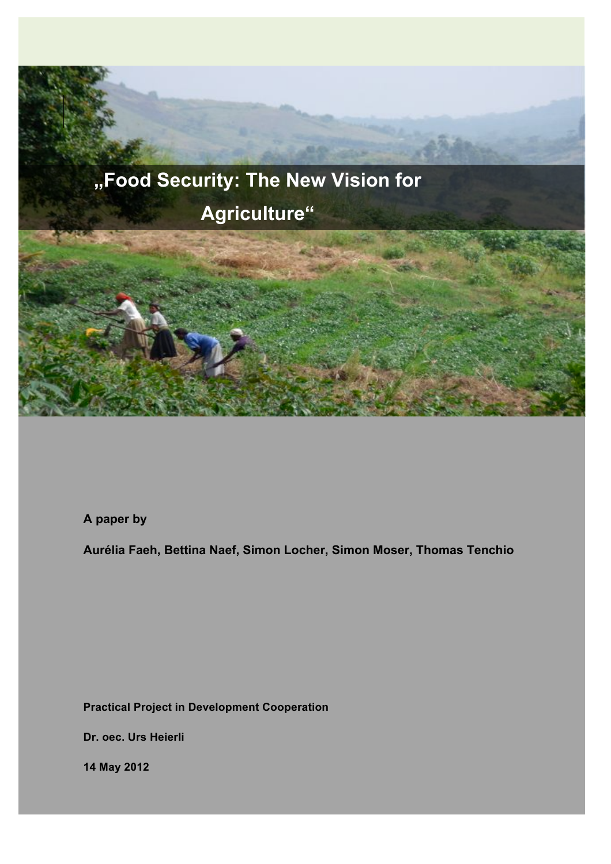

**A paper by**

**Aurélia Faeh, Bettina Naef, Simon Locher, Simon Moser, Thomas Tenchio**

**Practical Project in Development Cooperation**

**Dr. oec. Urs Heierli**

**14 May 2012**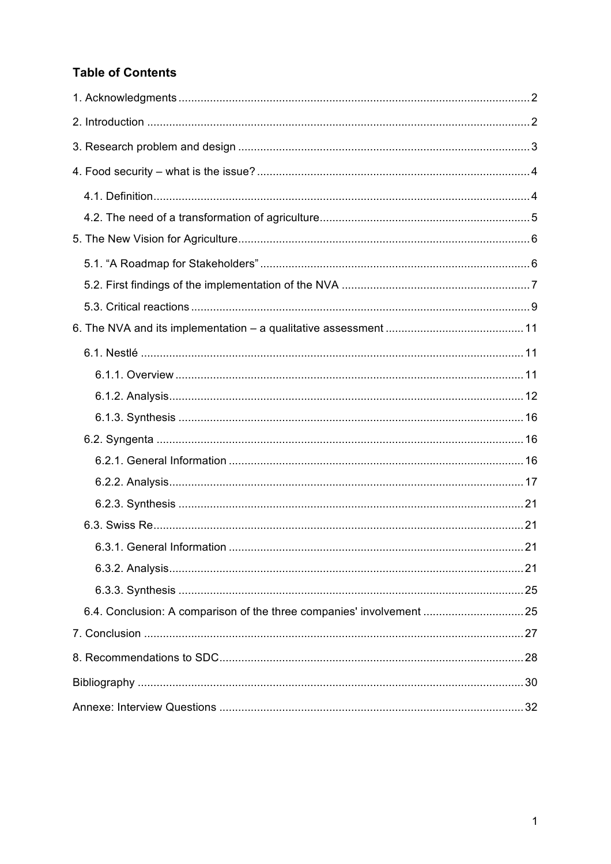# **Table of Contents**

| 6.4. Conclusion: A comparison of the three companies' involvement  25 |
|-----------------------------------------------------------------------|
|                                                                       |
|                                                                       |
|                                                                       |
|                                                                       |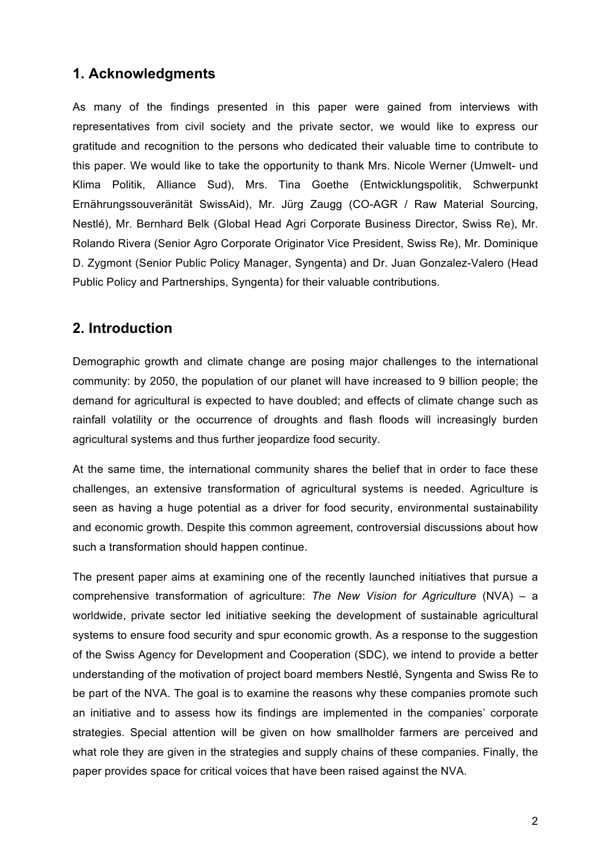# **1. Acknowledgments**

As many of the findings presented in this paper were gained from interviews with representatives from civil society and the private sector, we would like to express our gratitude and recognition to the persons who dedicated their valuable time to contribute to this paper. We would like to take the opportunity to thank Mrs. Nicole Werner (Umwelt- und Klima Politik, Alliance Sud), Mrs. Tina Goethe (Entwicklungspolitik, Schwerpunkt Ernährungssouveränität SwissAid), Mr. Jürg Zaugg (CO-AGR / Raw Material Sourcing, Nestlé), Mr. Bernhard Belk (Global Head Agri Corporate Business Director, Swiss Re), Mr. Rolando Rivera (Senior Agro Corporate Originator Vice President, Swiss Re), Mr. Dominique D. Zygmont (Senior Public Policy Manager, Syngenta) and Dr. Juan Gonzalez-Valero (Head Public Policy and Partnerships, Syngenta) for their valuable contributions.

# **2. Introduction**

Demographic growth and climate change are posing major challenges to the international community: by 2050, the population of our planet will have increased to 9 billion people; the demand for agricultural is expected to have doubled; and effects of climate change such as rainfall volatility or the occurrence of droughts and flash floods will increasingly burden agricultural systems and thus further jeopardize food security.

At the same time, the international community shares the belief that in order to face these challenges, an extensive transformation of agricultural systems is needed. Agriculture is seen as having a huge potential as a driver for food security, environmental sustainability and economic growth. Despite this common agreement, controversial discussions about how such a transformation should happen continue.

The present paper aims at examining one of the recently launched initiatives that pursue a comprehensive transformation of agriculture: *The New Vision for Agriculture* (NVA) – a worldwide, private sector led initiative seeking the development of sustainable agricultural systems to ensure food security and spur economic growth. As a response to the suggestion of the Swiss Agency for Development and Cooperation (SDC), we intend to provide a better understanding of the motivation of project board members Nestlé, Syngenta and Swiss Re to be part of the NVA. The goal is to examine the reasons why these companies promote such an initiative and to assess how its findings are implemented in the companies' corporate strategies. Special attention will be given on how smallholder farmers are perceived and what role they are given in the strategies and supply chains of these companies. Finally, the paper provides space for critical voices that have been raised against the NVA.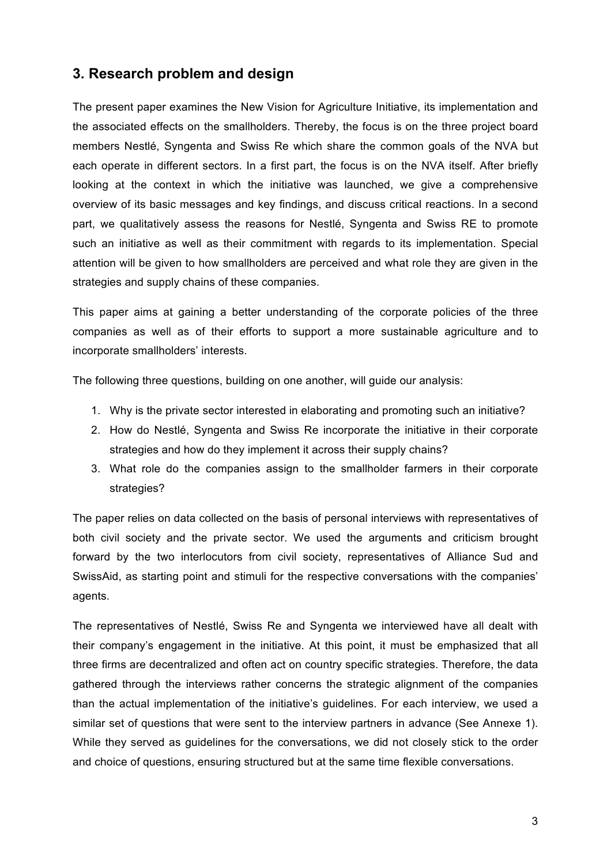# **3. Research problem and design**

The present paper examines the New Vision for Agriculture Initiative, its implementation and the associated effects on the smallholders. Thereby, the focus is on the three project board members Nestlé, Syngenta and Swiss Re which share the common goals of the NVA but each operate in different sectors. In a first part, the focus is on the NVA itself. After briefly looking at the context in which the initiative was launched, we give a comprehensive overview of its basic messages and key findings, and discuss critical reactions. In a second part, we qualitatively assess the reasons for Nestlé, Syngenta and Swiss RE to promote such an initiative as well as their commitment with regards to its implementation. Special attention will be given to how smallholders are perceived and what role they are given in the strategies and supply chains of these companies.

This paper aims at gaining a better understanding of the corporate policies of the three companies as well as of their efforts to support a more sustainable agriculture and to incorporate smallholders' interests.

The following three questions, building on one another, will guide our analysis:

- 1. Why is the private sector interested in elaborating and promoting such an initiative?
- 2. How do Nestlé, Syngenta and Swiss Re incorporate the initiative in their corporate strategies and how do they implement it across their supply chains?
- 3. What role do the companies assign to the smallholder farmers in their corporate strategies?

The paper relies on data collected on the basis of personal interviews with representatives of both civil society and the private sector. We used the arguments and criticism brought forward by the two interlocutors from civil society, representatives of Alliance Sud and SwissAid, as starting point and stimuli for the respective conversations with the companies' agents.

The representatives of Nestlé, Swiss Re and Syngenta we interviewed have all dealt with their company's engagement in the initiative. At this point, it must be emphasized that all three firms are decentralized and often act on country specific strategies. Therefore, the data gathered through the interviews rather concerns the strategic alignment of the companies than the actual implementation of the initiative's guidelines. For each interview, we used a similar set of questions that were sent to the interview partners in advance (See Annexe 1). While they served as guidelines for the conversations, we did not closely stick to the order and choice of questions, ensuring structured but at the same time flexible conversations.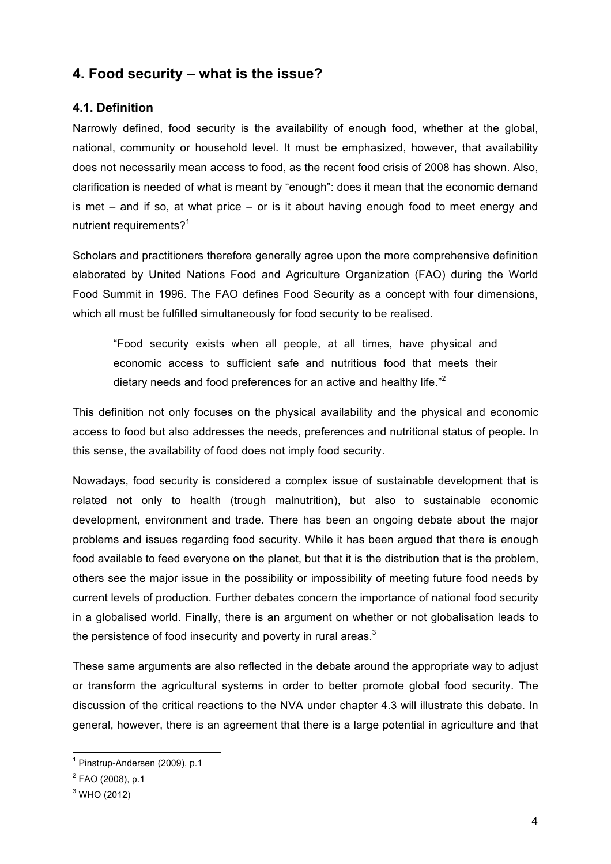# **4. Food security – what is the issue?**

## **4.1. Definition**

Narrowly defined, food security is the availability of enough food, whether at the global, national, community or household level. It must be emphasized, however, that availability does not necessarily mean access to food, as the recent food crisis of 2008 has shown. Also, clarification is needed of what is meant by "enough": does it mean that the economic demand is met – and if so, at what price – or is it about having enough food to meet energy and nutrient requirements?<sup>1</sup>

Scholars and practitioners therefore generally agree upon the more comprehensive definition elaborated by United Nations Food and Agriculture Organization (FAO) during the World Food Summit in 1996. The FAO defines Food Security as a concept with four dimensions, which all must be fulfilled simultaneously for food security to be realised.

"Food security exists when all people, at all times, have physical and economic access to sufficient safe and nutritious food that meets their dietary needs and food preferences for an active and healthy life."<sup>2</sup>

This definition not only focuses on the physical availability and the physical and economic access to food but also addresses the needs, preferences and nutritional status of people. In this sense, the availability of food does not imply food security.

Nowadays, food security is considered a complex issue of sustainable development that is related not only to health (trough malnutrition), but also to sustainable economic development, environment and trade. There has been an ongoing debate about the major problems and issues regarding food security. While it has been argued that there is enough food available to feed everyone on the planet, but that it is the distribution that is the problem, others see the major issue in the possibility or impossibility of meeting future food needs by current levels of production. Further debates concern the importance of national food security in a globalised world. Finally, there is an argument on whether or not globalisation leads to the persistence of food insecurity and poverty in rural areas.<sup>3</sup>

These same arguments are also reflected in the debate around the appropriate way to adjust or transform the agricultural systems in order to better promote global food security. The discussion of the critical reactions to the NVA under chapter 4.3 will illustrate this debate. In general, however, there is an agreement that there is a large potential in agriculture and that

 $<sup>1</sup>$  Pinstrup-Andersen (2009), p.1</sup>

<sup>&</sup>lt;sup>2</sup> FAO (2008), p.1

 $3$  WHO (2012)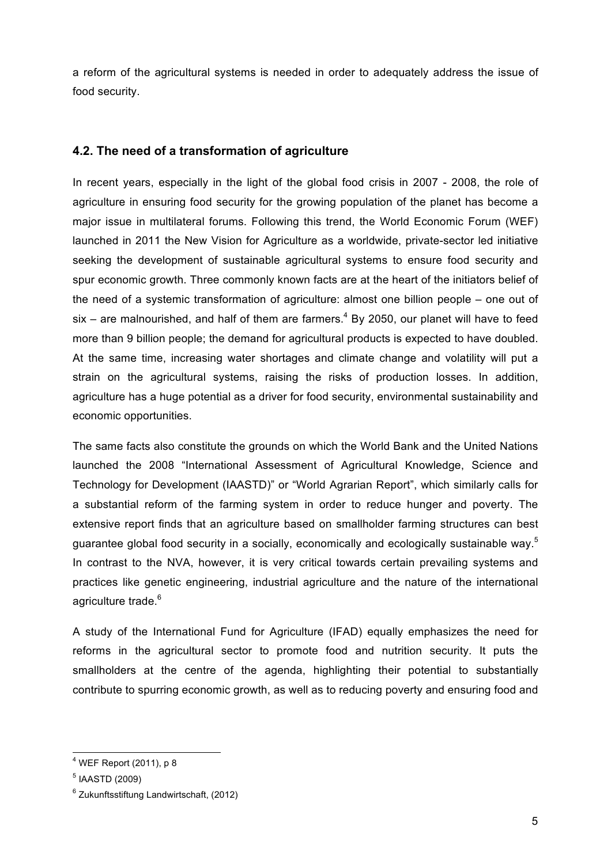a reform of the agricultural systems is needed in order to adequately address the issue of food security.

### **4.2. The need of a transformation of agriculture**

In recent years, especially in the light of the global food crisis in 2007 - 2008, the role of agriculture in ensuring food security for the growing population of the planet has become a major issue in multilateral forums. Following this trend, the World Economic Forum (WEF) launched in 2011 the New Vision for Agriculture as a worldwide, private-sector led initiative seeking the development of sustainable agricultural systems to ensure food security and spur economic growth. Three commonly known facts are at the heart of the initiators belief of the need of a systemic transformation of agriculture: almost one billion people – one out of six – are malnourished, and half of them are farmers. $4$  By 2050, our planet will have to feed more than 9 billion people; the demand for agricultural products is expected to have doubled. At the same time, increasing water shortages and climate change and volatility will put a strain on the agricultural systems, raising the risks of production losses. In addition, agriculture has a huge potential as a driver for food security, environmental sustainability and economic opportunities.

The same facts also constitute the grounds on which the World Bank and the United Nations launched the 2008 "International Assessment of Agricultural Knowledge, Science and Technology for Development (IAASTD)" or "World Agrarian Report", which similarly calls for a substantial reform of the farming system in order to reduce hunger and poverty. The extensive report finds that an agriculture based on smallholder farming structures can best guarantee global food security in a socially, economically and ecologically sustainable way.<sup>5</sup> In contrast to the NVA, however, it is very critical towards certain prevailing systems and practices like genetic engineering, industrial agriculture and the nature of the international agriculture trade.<sup>6</sup>

A study of the International Fund for Agriculture (IFAD) equally emphasizes the need for reforms in the agricultural sector to promote food and nutrition security. It puts the smallholders at the centre of the agenda, highlighting their potential to substantially contribute to spurring economic growth, as well as to reducing poverty and ensuring food and

 <sup>4</sup> WEF Report (2011), p 8

<sup>5</sup> IAASTD (2009)

<sup>6</sup> Zukunftsstiftung Landwirtschaft, (2012)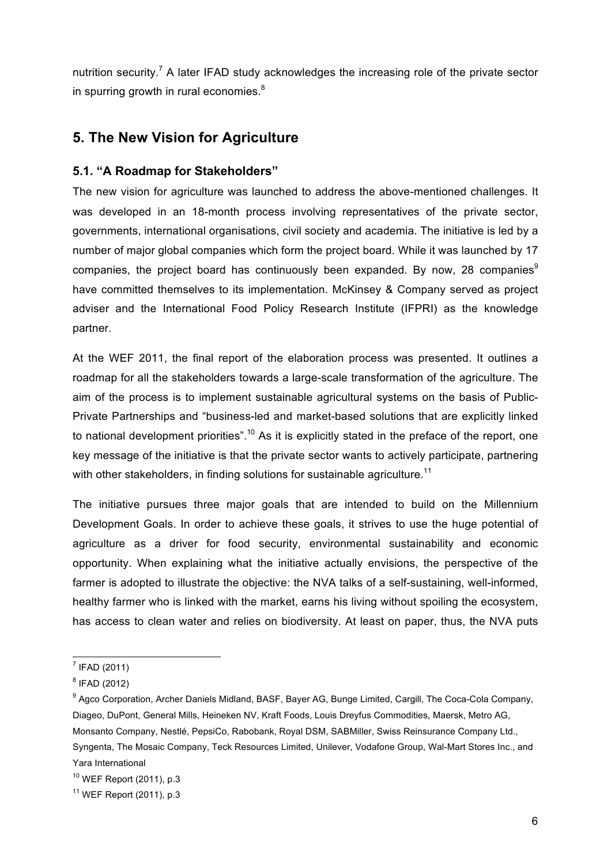nutrition security.<sup>7</sup> A later IFAD study acknowledges the increasing role of the private sector in spurring growth in rural economies. $8<sup>8</sup>$ 

# **5. The New Vision for Agriculture**

### **5.1. "A Roadmap for Stakeholders"**

The new vision for agriculture was launched to address the above-mentioned challenges. It was developed in an 18-month process involving representatives of the private sector, governments, international organisations, civil society and academia. The initiative is led by a number of major global companies which form the project board. While it was launched by 17 companies, the project board has continuously been expanded. By now, 28 companies $9$ have committed themselves to its implementation. McKinsey & Company served as project adviser and the International Food Policy Research Institute (IFPRI) as the knowledge partner.

At the WEF 2011, the final report of the elaboration process was presented. It outlines a roadmap for all the stakeholders towards a large-scale transformation of the agriculture. The aim of the process is to implement sustainable agricultural systems on the basis of Public-Private Partnerships and "business-led and market-based solutions that are explicitly linked to national development priorities".<sup>10</sup> As it is explicitly stated in the preface of the report, one key message of the initiative is that the private sector wants to actively participate, partnering with other stakeholders, in finding solutions for sustainable agriculture.<sup>11</sup>

The initiative pursues three major goals that are intended to build on the Millennium Development Goals. In order to achieve these goals, it strives to use the huge potential of agriculture as a driver for food security, environmental sustainability and economic opportunity. When explaining what the initiative actually envisions, the perspective of the farmer is adopted to illustrate the objective: the NVA talks of a self-sustaining, well-informed, healthy farmer who is linked with the market, earns his living without spoiling the ecosystem, has access to clean water and relies on biodiversity. At least on paper, thus, the NVA puts

 <sup>7</sup> IFAD (2011)

<sup>8</sup> IFAD (2012)

<sup>9</sup> Agco Corporation, Archer Daniels Midland, BASF, Bayer AG, Bunge Limited, Cargill, The Coca-Cola Company, Diageo, DuPont, General Mills, Heineken NV, Kraft Foods, Louis Dreyfus Commodities, Maersk, Metro AG, Monsanto Company, Nestlé, PepsiCo, Rabobank, Royal DSM, SABMiller, Swiss Reinsurance Company Ltd., Syngenta, The Mosaic Company, Teck Resources Limited, Unilever, Vodafone Group, Wal-Mart Stores Inc., and Yara International

<sup>10</sup> WEF Report (2011), p.3

<sup>11</sup> WEF Report (2011), p.3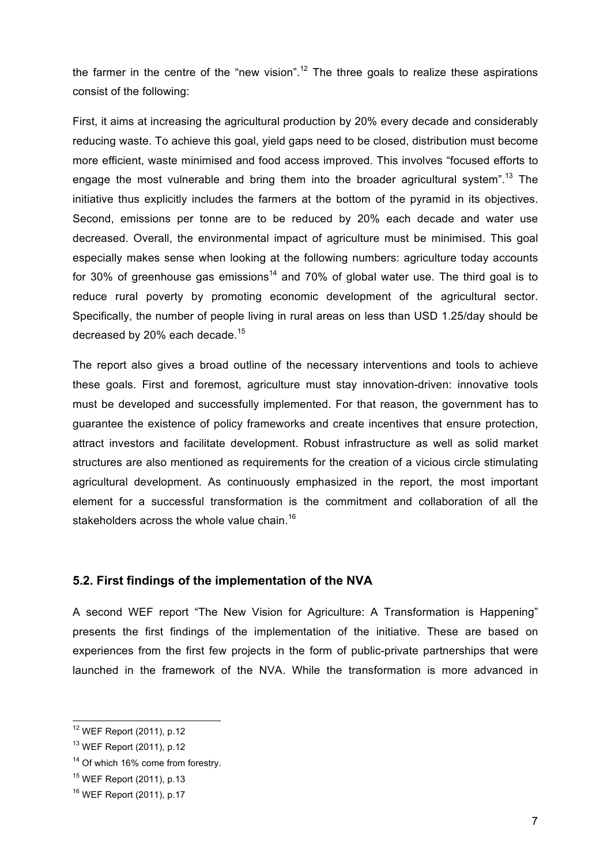the farmer in the centre of the "new vision".<sup>12</sup> The three goals to realize these aspirations consist of the following:

First, it aims at increasing the agricultural production by 20% every decade and considerably reducing waste. To achieve this goal, yield gaps need to be closed, distribution must become more efficient, waste minimised and food access improved. This involves "focused efforts to engage the most vulnerable and bring them into the broader agricultural system".<sup>13</sup> The initiative thus explicitly includes the farmers at the bottom of the pyramid in its objectives. Second, emissions per tonne are to be reduced by 20% each decade and water use decreased. Overall, the environmental impact of agriculture must be minimised. This goal especially makes sense when looking at the following numbers: agriculture today accounts for 30% of greenhouse gas emissions<sup>14</sup> and 70% of global water use. The third goal is to reduce rural poverty by promoting economic development of the agricultural sector. Specifically, the number of people living in rural areas on less than USD 1.25/day should be decreased by 20% each decade.<sup>15</sup>

The report also gives a broad outline of the necessary interventions and tools to achieve these goals. First and foremost, agriculture must stay innovation-driven: innovative tools must be developed and successfully implemented. For that reason, the government has to guarantee the existence of policy frameworks and create incentives that ensure protection, attract investors and facilitate development. Robust infrastructure as well as solid market structures are also mentioned as requirements for the creation of a vicious circle stimulating agricultural development. As continuously emphasized in the report, the most important element for a successful transformation is the commitment and collaboration of all the stakeholders across the whole value chain.<sup>16</sup>

#### **5.2. First findings of the implementation of the NVA**

A second WEF report "The New Vision for Agriculture: A Transformation is Happening" presents the first findings of the implementation of the initiative. These are based on experiences from the first few projects in the form of public-private partnerships that were launched in the framework of the NVA. While the transformation is more advanced in

 <sup>12</sup> WEF Report (2011), p.12

<sup>13</sup> WEF Report (2011), p.12

<sup>&</sup>lt;sup>14</sup> Of which 16% come from forestry.

<sup>15</sup> WEF Report (2011), p.13

<sup>16</sup> WEF Report (2011), p.17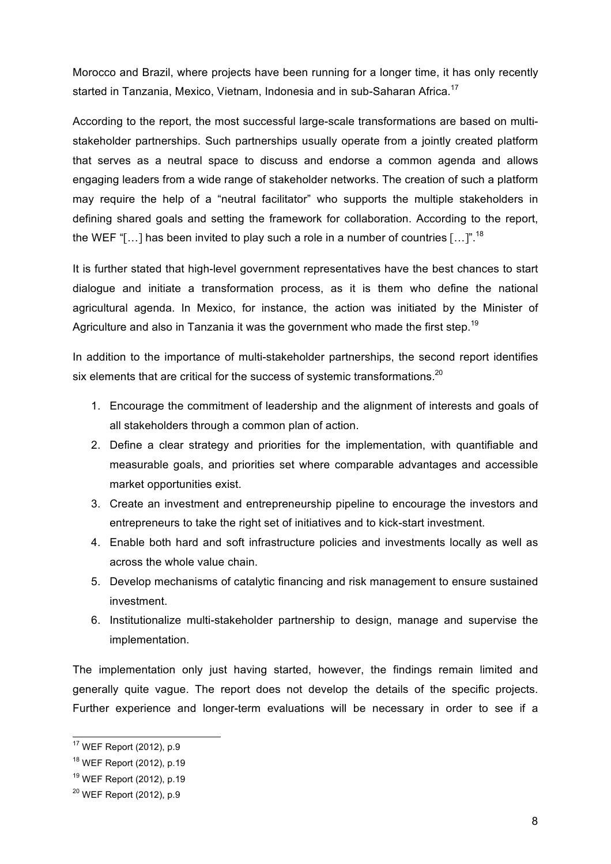Morocco and Brazil, where projects have been running for a longer time, it has only recently started in Tanzania, Mexico, Vietnam, Indonesia and in sub-Saharan Africa.<sup>17</sup>

According to the report, the most successful large-scale transformations are based on multistakeholder partnerships. Such partnerships usually operate from a jointly created platform that serves as a neutral space to discuss and endorse a common agenda and allows engaging leaders from a wide range of stakeholder networks. The creation of such a platform may require the help of a "neutral facilitator" who supports the multiple stakeholders in defining shared goals and setting the framework for collaboration. According to the report, the WEF "[...] has been invited to play such a role in a number of countries [...]".<sup>18</sup>

It is further stated that high-level government representatives have the best chances to start dialogue and initiate a transformation process, as it is them who define the national agricultural agenda. In Mexico, for instance, the action was initiated by the Minister of Agriculture and also in Tanzania it was the government who made the first step.<sup>19</sup>

In addition to the importance of multi-stakeholder partnerships, the second report identifies six elements that are critical for the success of systemic transformations.<sup>20</sup>

- 1. Encourage the commitment of leadership and the alignment of interests and goals of all stakeholders through a common plan of action.
- 2. Define a clear strategy and priorities for the implementation, with quantifiable and measurable goals, and priorities set where comparable advantages and accessible market opportunities exist.
- 3. Create an investment and entrepreneurship pipeline to encourage the investors and entrepreneurs to take the right set of initiatives and to kick-start investment.
- 4. Enable both hard and soft infrastructure policies and investments locally as well as across the whole value chain.
- 5. Develop mechanisms of catalytic financing and risk management to ensure sustained investment.
- 6. Institutionalize multi-stakeholder partnership to design, manage and supervise the implementation.

The implementation only just having started, however, the findings remain limited and generally quite vague. The report does not develop the details of the specific projects. Further experience and longer-term evaluations will be necessary in order to see if a

 <sup>17</sup> WEF Report (2012), p.9

<sup>18</sup> WEF Report (2012), p.19

<sup>19</sup> WEF Report (2012), p.19

<sup>20</sup> WEF Report (2012), p.9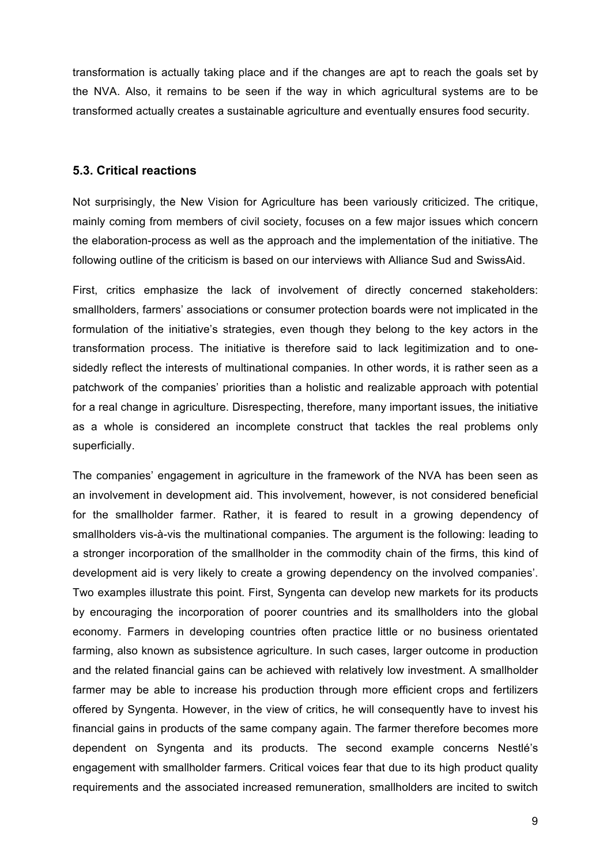transformation is actually taking place and if the changes are apt to reach the goals set by the NVA. Also, it remains to be seen if the way in which agricultural systems are to be transformed actually creates a sustainable agriculture and eventually ensures food security.

#### **5.3. Critical reactions**

Not surprisingly, the New Vision for Agriculture has been variously criticized. The critique, mainly coming from members of civil society, focuses on a few major issues which concern the elaboration-process as well as the approach and the implementation of the initiative. The following outline of the criticism is based on our interviews with Alliance Sud and SwissAid.

First, critics emphasize the lack of involvement of directly concerned stakeholders: smallholders, farmers' associations or consumer protection boards were not implicated in the formulation of the initiative's strategies, even though they belong to the key actors in the transformation process. The initiative is therefore said to lack legitimization and to onesidedly reflect the interests of multinational companies. In other words, it is rather seen as a patchwork of the companies' priorities than a holistic and realizable approach with potential for a real change in agriculture. Disrespecting, therefore, many important issues, the initiative as a whole is considered an incomplete construct that tackles the real problems only superficially.

The companies' engagement in agriculture in the framework of the NVA has been seen as an involvement in development aid. This involvement, however, is not considered beneficial for the smallholder farmer. Rather, it is feared to result in a growing dependency of smallholders vis-à-vis the multinational companies. The argument is the following: leading to a stronger incorporation of the smallholder in the commodity chain of the firms, this kind of development aid is very likely to create a growing dependency on the involved companies'. Two examples illustrate this point. First, Syngenta can develop new markets for its products by encouraging the incorporation of poorer countries and its smallholders into the global economy. Farmers in developing countries often practice little or no business orientated farming, also known as subsistence agriculture. In such cases, larger outcome in production and the related financial gains can be achieved with relatively low investment. A smallholder farmer may be able to increase his production through more efficient crops and fertilizers offered by Syngenta. However, in the view of critics, he will consequently have to invest his financial gains in products of the same company again. The farmer therefore becomes more dependent on Syngenta and its products. The second example concerns Nestlé's engagement with smallholder farmers. Critical voices fear that due to its high product quality requirements and the associated increased remuneration, smallholders are incited to switch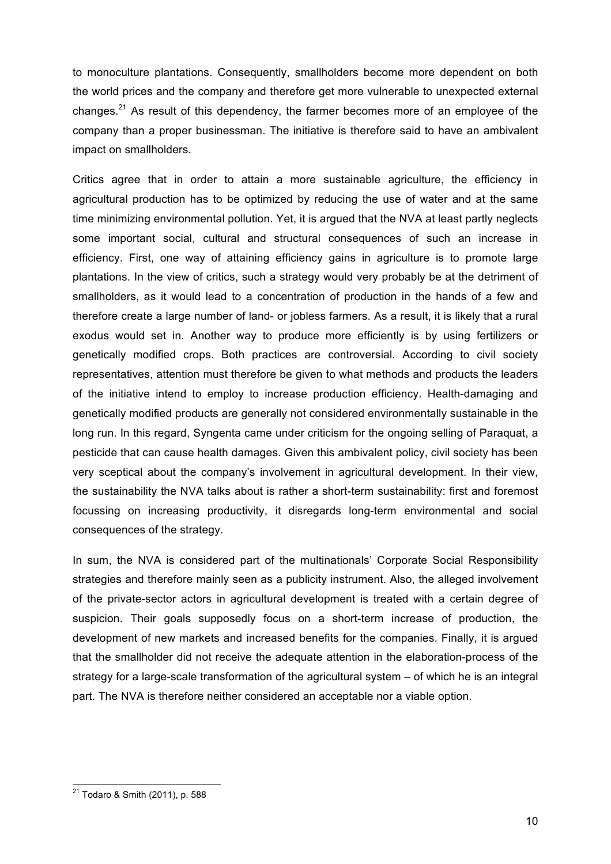to monoculture plantations. Consequently, smallholders become more dependent on both the world prices and the company and therefore get more vulnerable to unexpected external changes.<sup>21</sup> As result of this dependency, the farmer becomes more of an employee of the company than a proper businessman. The initiative is therefore said to have an ambivalent impact on smallholders.

Critics agree that in order to attain a more sustainable agriculture, the efficiency in agricultural production has to be optimized by reducing the use of water and at the same time minimizing environmental pollution. Yet, it is argued that the NVA at least partly neglects some important social, cultural and structural consequences of such an increase in efficiency. First, one way of attaining efficiency gains in agriculture is to promote large plantations. In the view of critics, such a strategy would very probably be at the detriment of smallholders, as it would lead to a concentration of production in the hands of a few and therefore create a large number of land- or jobless farmers. As a result, it is likely that a rural exodus would set in. Another way to produce more efficiently is by using fertilizers or genetically modified crops. Both practices are controversial. According to civil society representatives, attention must therefore be given to what methods and products the leaders of the initiative intend to employ to increase production efficiency. Health-damaging and genetically modified products are generally not considered environmentally sustainable in the long run. In this regard, Syngenta came under criticism for the ongoing selling of Paraquat, a pesticide that can cause health damages. Given this ambivalent policy, civil society has been very sceptical about the company's involvement in agricultural development. In their view, the sustainability the NVA talks about is rather a short-term sustainability: first and foremost focussing on increasing productivity, it disregards long-term environmental and social consequences of the strategy.

In sum, the NVA is considered part of the multinationals' Corporate Social Responsibility strategies and therefore mainly seen as a publicity instrument. Also, the alleged involvement of the private-sector actors in agricultural development is treated with a certain degree of suspicion. Their goals supposedly focus on a short-term increase of production, the development of new markets and increased benefits for the companies. Finally, it is argued that the smallholder did not receive the adequate attention in the elaboration-process of the strategy for a large-scale transformation of the agricultural system – of which he is an integral part. The NVA is therefore neither considered an acceptable nor a viable option.

 <sup>21</sup> Todaro & Smith (2011), p. 588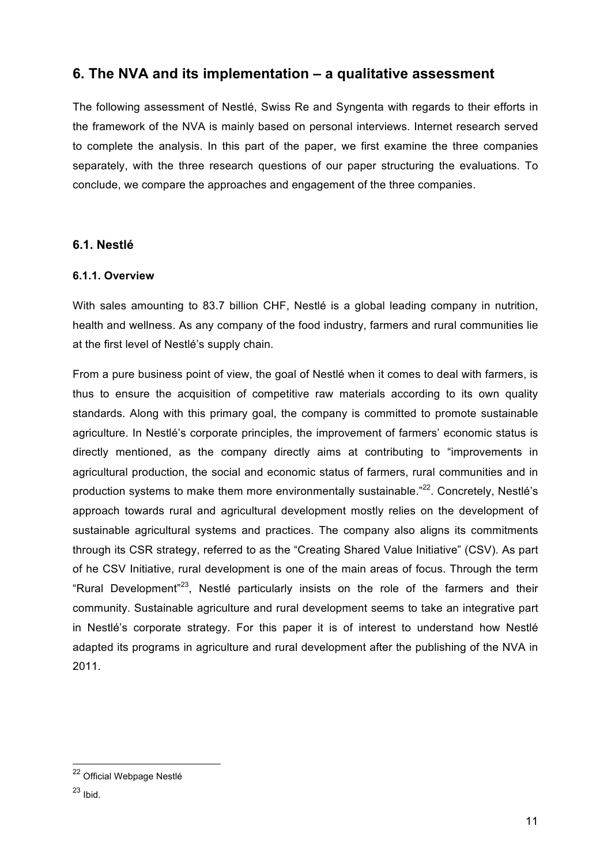# **6. The NVA and its implementation – a qualitative assessment**

The following assessment of Nestlé, Swiss Re and Syngenta with regards to their efforts in the framework of the NVA is mainly based on personal interviews. Internet research served to complete the analysis. In this part of the paper, we first examine the three companies separately, with the three research questions of our paper structuring the evaluations. To conclude, we compare the approaches and engagement of the three companies.

### **6.1. Nestlé**

### **6.1.1. Overview**

With sales amounting to 83.7 billion CHF, Nestlé is a global leading company in nutrition, health and wellness. As any company of the food industry, farmers and rural communities lie at the first level of Nestlé's supply chain.

From a pure business point of view, the goal of Nestlé when it comes to deal with farmers, is thus to ensure the acquisition of competitive raw materials according to its own quality standards. Along with this primary goal, the company is committed to promote sustainable agriculture. In Nestlé's corporate principles, the improvement of farmers' economic status is directly mentioned, as the company directly aims at contributing to "improvements in agricultural production, the social and economic status of farmers, rural communities and in production systems to make them more environmentally sustainable."<sup>22</sup>. Concretely, Nestlé's approach towards rural and agricultural development mostly relies on the development of sustainable agricultural systems and practices. The company also aligns its commitments through its CSR strategy, referred to as the "Creating Shared Value Initiative" (CSV). As part of he CSV Initiative, rural development is one of the main areas of focus. Through the term "Rural Development"23, Nestlé particularly insists on the role of the farmers and their community. Sustainable agriculture and rural development seems to take an integrative part in Nestlé's corporate strategy. For this paper it is of interest to understand how Nestlé adapted its programs in agriculture and rural development after the publishing of the NVA in 2011.

 <sup>22</sup> Official Webpage Nestlé

 $23$  Ibid.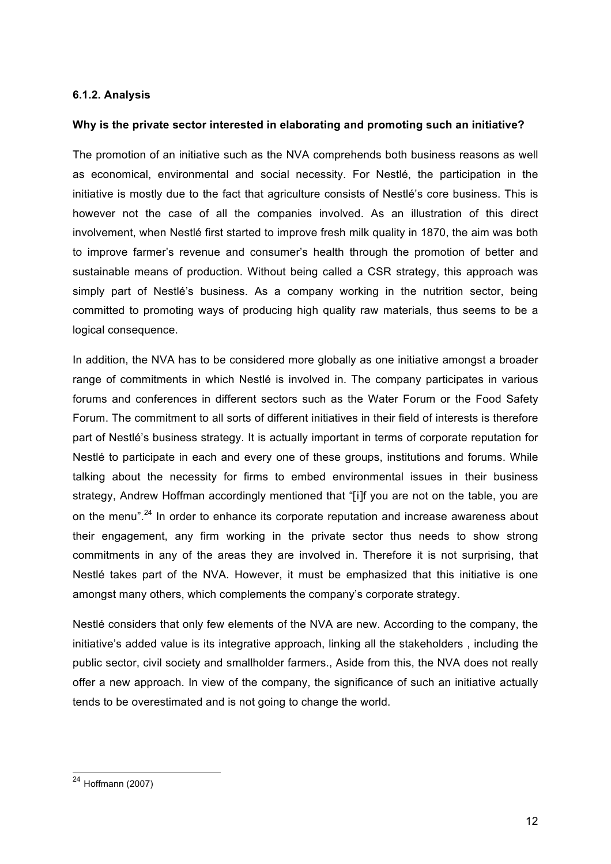#### **6.1.2. Analysis**

#### **Why is the private sector interested in elaborating and promoting such an initiative?**

The promotion of an initiative such as the NVA comprehends both business reasons as well as economical, environmental and social necessity. For Nestlé, the participation in the initiative is mostly due to the fact that agriculture consists of Nestlé's core business. This is however not the case of all the companies involved. As an illustration of this direct involvement, when Nestlé first started to improve fresh milk quality in 1870, the aim was both to improve farmer's revenue and consumer's health through the promotion of better and sustainable means of production. Without being called a CSR strategy, this approach was simply part of Nestlé's business. As a company working in the nutrition sector, being committed to promoting ways of producing high quality raw materials, thus seems to be a logical consequence.

In addition, the NVA has to be considered more globally as one initiative amongst a broader range of commitments in which Nestlé is involved in. The company participates in various forums and conferences in different sectors such as the Water Forum or the Food Safety Forum. The commitment to all sorts of different initiatives in their field of interests is therefore part of Nestlé's business strategy. It is actually important in terms of corporate reputation for Nestlé to participate in each and every one of these groups, institutions and forums. While talking about the necessity for firms to embed environmental issues in their business strategy, Andrew Hoffman accordingly mentioned that "[i]f you are not on the table, you are on the menu".<sup>24</sup> In order to enhance its corporate reputation and increase awareness about their engagement, any firm working in the private sector thus needs to show strong commitments in any of the areas they are involved in. Therefore it is not surprising, that Nestlé takes part of the NVA. However, it must be emphasized that this initiative is one amongst many others, which complements the company's corporate strategy.

Nestlé considers that only few elements of the NVA are new. According to the company, the initiative's added value is its integrative approach, linking all the stakeholders , including the public sector, civil society and smallholder farmers., Aside from this, the NVA does not really offer a new approach. In view of the company, the significance of such an initiative actually tends to be overestimated and is not going to change the world.

 $24$  Hoffmann (2007)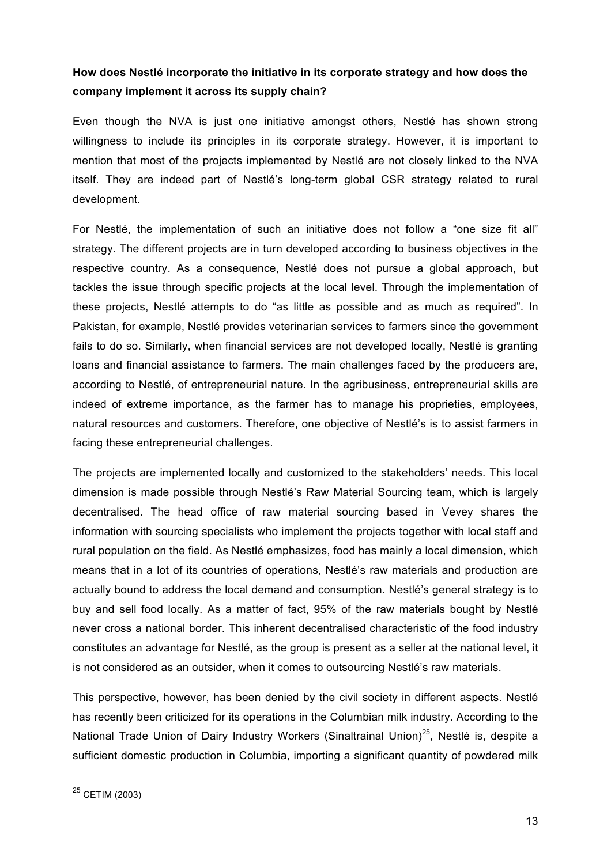# **How does Nestlé incorporate the initiative in its corporate strategy and how does the company implement it across its supply chain?**

Even though the NVA is just one initiative amongst others, Nestlé has shown strong willingness to include its principles in its corporate strategy. However, it is important to mention that most of the projects implemented by Nestlé are not closely linked to the NVA itself. They are indeed part of Nestlé's long-term global CSR strategy related to rural development.

For Nestlé, the implementation of such an initiative does not follow a "one size fit all" strategy. The different projects are in turn developed according to business objectives in the respective country. As a consequence, Nestlé does not pursue a global approach, but tackles the issue through specific projects at the local level. Through the implementation of these projects, Nestlé attempts to do "as little as possible and as much as required". In Pakistan, for example, Nestlé provides veterinarian services to farmers since the government fails to do so. Similarly, when financial services are not developed locally, Nestlé is granting loans and financial assistance to farmers. The main challenges faced by the producers are, according to Nestlé, of entrepreneurial nature. In the agribusiness, entrepreneurial skills are indeed of extreme importance, as the farmer has to manage his proprieties, employees, natural resources and customers. Therefore, one objective of Nestlé's is to assist farmers in facing these entrepreneurial challenges.

The projects are implemented locally and customized to the stakeholders' needs. This local dimension is made possible through Nestlé's Raw Material Sourcing team, which is largely decentralised. The head office of raw material sourcing based in Vevey shares the information with sourcing specialists who implement the projects together with local staff and rural population on the field. As Nestlé emphasizes, food has mainly a local dimension, which means that in a lot of its countries of operations, Nestlé's raw materials and production are actually bound to address the local demand and consumption. Nestlé's general strategy is to buy and sell food locally. As a matter of fact, 95% of the raw materials bought by Nestlé never cross a national border. This inherent decentralised characteristic of the food industry constitutes an advantage for Nestlé, as the group is present as a seller at the national level, it is not considered as an outsider, when it comes to outsourcing Nestlé's raw materials.

This perspective, however, has been denied by the civil society in different aspects. Nestlé has recently been criticized for its operations in the Columbian milk industry. According to the National Trade Union of Dairy Industry Workers (Sinaltrainal Union)<sup>25</sup>, Nestlé is, despite a sufficient domestic production in Columbia, importing a significant quantity of powdered milk

 <sup>25</sup> CETIM (2003)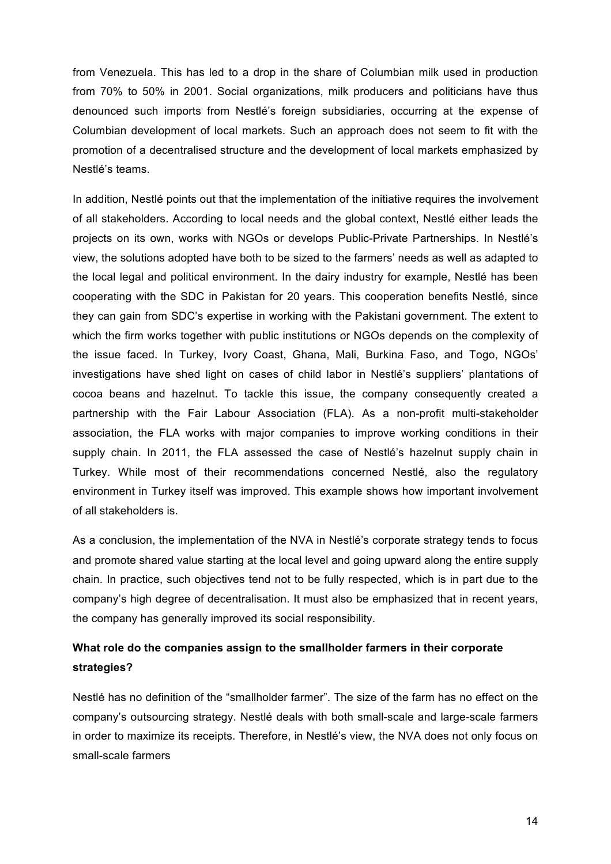from Venezuela. This has led to a drop in the share of Columbian milk used in production from 70% to 50% in 2001. Social organizations, milk producers and politicians have thus denounced such imports from Nestlé's foreign subsidiaries, occurring at the expense of Columbian development of local markets. Such an approach does not seem to fit with the promotion of a decentralised structure and the development of local markets emphasized by Nestlé's teams.

In addition, Nestlé points out that the implementation of the initiative requires the involvement of all stakeholders. According to local needs and the global context, Nestlé either leads the projects on its own, works with NGOs or develops Public-Private Partnerships. In Nestlé's view, the solutions adopted have both to be sized to the farmers' needs as well as adapted to the local legal and political environment. In the dairy industry for example, Nestlé has been cooperating with the SDC in Pakistan for 20 years. This cooperation benefits Nestlé, since they can gain from SDC's expertise in working with the Pakistani government. The extent to which the firm works together with public institutions or NGOs depends on the complexity of the issue faced. In Turkey, Ivory Coast, Ghana, Mali, Burkina Faso, and Togo, NGOs' investigations have shed light on cases of child labor in Nestlé's suppliers' plantations of cocoa beans and hazelnut. To tackle this issue, the company consequently created a partnership with the Fair Labour Association (FLA). As a non-profit multi-stakeholder association, the FLA works with major companies to improve working conditions in their supply chain. In 2011, the FLA assessed the case of Nestlé's hazelnut supply chain in Turkey. While most of their recommendations concerned Nestlé, also the regulatory environment in Turkey itself was improved. This example shows how important involvement of all stakeholders is.

As a conclusion, the implementation of the NVA in Nestlé's corporate strategy tends to focus and promote shared value starting at the local level and going upward along the entire supply chain. In practice, such objectives tend not to be fully respected, which is in part due to the company's high degree of decentralisation. It must also be emphasized that in recent years, the company has generally improved its social responsibility.

# **What role do the companies assign to the smallholder farmers in their corporate strategies?**

Nestlé has no definition of the "smallholder farmer". The size of the farm has no effect on the company's outsourcing strategy. Nestlé deals with both small-scale and large-scale farmers in order to maximize its receipts. Therefore, in Nestlé's view, the NVA does not only focus on small-scale farmers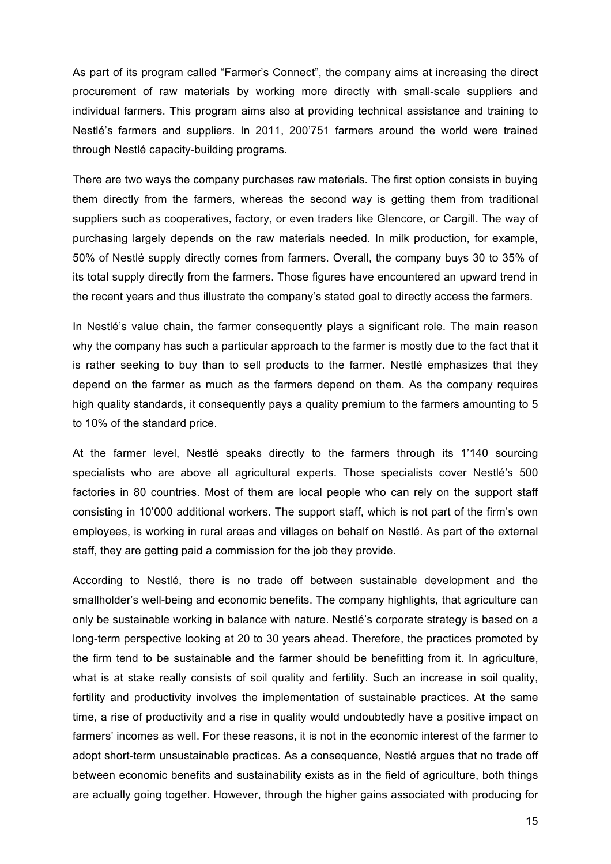As part of its program called "Farmer's Connect", the company aims at increasing the direct procurement of raw materials by working more directly with small-scale suppliers and individual farmers. This program aims also at providing technical assistance and training to Nestlé's farmers and suppliers. In 2011, 200'751 farmers around the world were trained through Nestlé capacity-building programs.

There are two ways the company purchases raw materials. The first option consists in buying them directly from the farmers, whereas the second way is getting them from traditional suppliers such as cooperatives, factory, or even traders like Glencore, or Cargill. The way of purchasing largely depends on the raw materials needed. In milk production, for example, 50% of Nestlé supply directly comes from farmers. Overall, the company buys 30 to 35% of its total supply directly from the farmers. Those figures have encountered an upward trend in the recent years and thus illustrate the company's stated goal to directly access the farmers.

In Nestlé's value chain, the farmer consequently plays a significant role. The main reason why the company has such a particular approach to the farmer is mostly due to the fact that it is rather seeking to buy than to sell products to the farmer. Nestlé emphasizes that they depend on the farmer as much as the farmers depend on them. As the company requires high quality standards, it consequently pays a quality premium to the farmers amounting to 5 to 10% of the standard price.

At the farmer level, Nestlé speaks directly to the farmers through its 1'140 sourcing specialists who are above all agricultural experts. Those specialists cover Nestlé's 500 factories in 80 countries. Most of them are local people who can rely on the support staff consisting in 10'000 additional workers. The support staff, which is not part of the firm's own employees, is working in rural areas and villages on behalf on Nestlé. As part of the external staff, they are getting paid a commission for the job they provide.

According to Nestlé, there is no trade off between sustainable development and the smallholder's well-being and economic benefits. The company highlights, that agriculture can only be sustainable working in balance with nature. Nestlé's corporate strategy is based on a long-term perspective looking at 20 to 30 years ahead. Therefore, the practices promoted by the firm tend to be sustainable and the farmer should be benefitting from it. In agriculture, what is at stake really consists of soil quality and fertility. Such an increase in soil quality, fertility and productivity involves the implementation of sustainable practices. At the same time, a rise of productivity and a rise in quality would undoubtedly have a positive impact on farmers' incomes as well. For these reasons, it is not in the economic interest of the farmer to adopt short-term unsustainable practices. As a consequence, Nestlé argues that no trade off between economic benefits and sustainability exists as in the field of agriculture, both things are actually going together. However, through the higher gains associated with producing for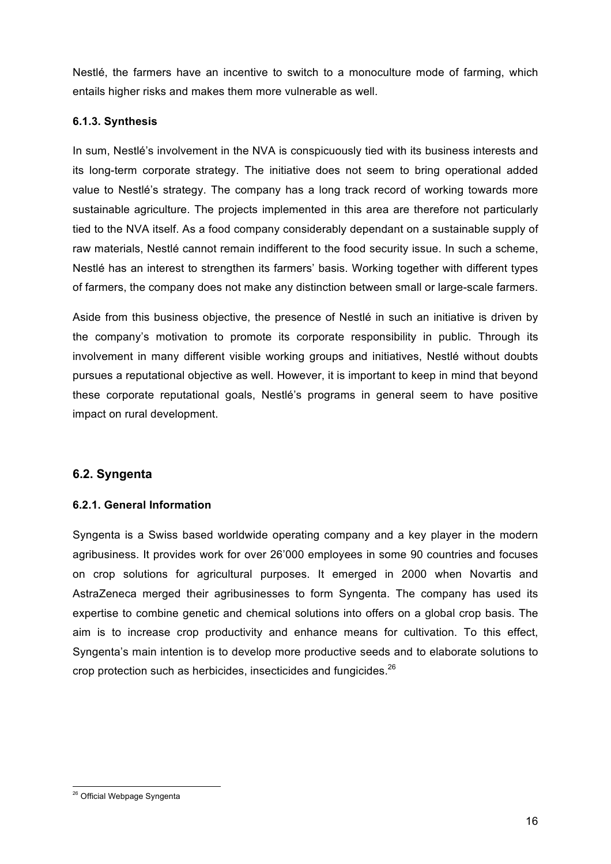Nestlé, the farmers have an incentive to switch to a monoculture mode of farming, which entails higher risks and makes them more vulnerable as well.

#### **6.1.3. Synthesis**

In sum, Nestlé's involvement in the NVA is conspicuously tied with its business interests and its long-term corporate strategy. The initiative does not seem to bring operational added value to Nestlé's strategy. The company has a long track record of working towards more sustainable agriculture. The projects implemented in this area are therefore not particularly tied to the NVA itself. As a food company considerably dependant on a sustainable supply of raw materials, Nestlé cannot remain indifferent to the food security issue. In such a scheme, Nestlé has an interest to strengthen its farmers' basis. Working together with different types of farmers, the company does not make any distinction between small or large-scale farmers.

Aside from this business objective, the presence of Nestlé in such an initiative is driven by the company's motivation to promote its corporate responsibility in public. Through its involvement in many different visible working groups and initiatives, Nestlé without doubts pursues a reputational objective as well. However, it is important to keep in mind that beyond these corporate reputational goals, Nestlé's programs in general seem to have positive impact on rural development.

### **6.2. Syngenta**

#### **6.2.1. General Information**

Syngenta is a Swiss based worldwide operating company and a key player in the modern agribusiness. It provides work for over 26'000 employees in some 90 countries and focuses on crop solutions for agricultural purposes. It emerged in 2000 when Novartis and AstraZeneca merged their agribusinesses to form Syngenta. The company has used its expertise to combine genetic and chemical solutions into offers on a global crop basis. The aim is to increase crop productivity and enhance means for cultivation. To this effect, Syngenta's main intention is to develop more productive seeds and to elaborate solutions to crop protection such as herbicides, insecticides and fungicides.<sup>26</sup>

<sup>&</sup>lt;sup>26</sup> Official Webpage Syngenta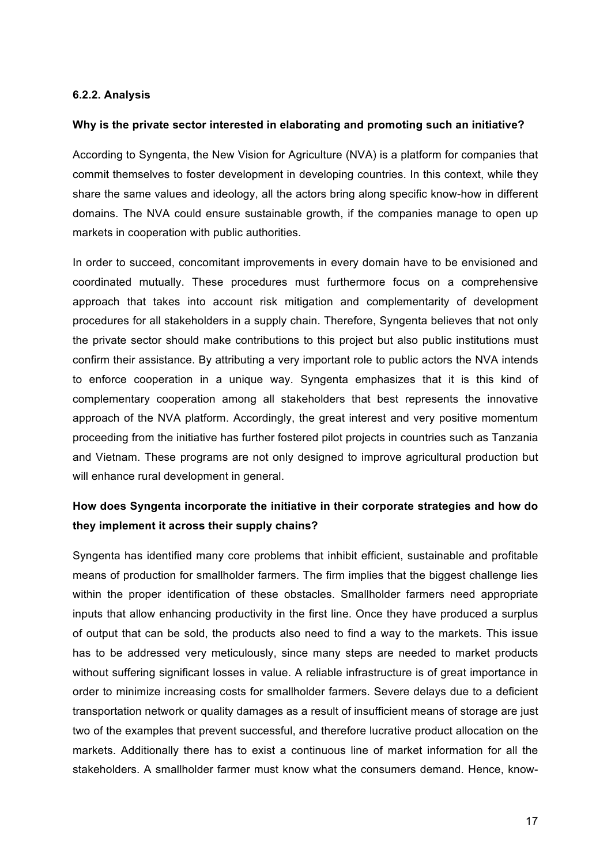#### **6.2.2. Analysis**

#### **Why is the private sector interested in elaborating and promoting such an initiative?**

According to Syngenta, the New Vision for Agriculture (NVA) is a platform for companies that commit themselves to foster development in developing countries. In this context, while they share the same values and ideology, all the actors bring along specific know-how in different domains. The NVA could ensure sustainable growth, if the companies manage to open up markets in cooperation with public authorities.

In order to succeed, concomitant improvements in every domain have to be envisioned and coordinated mutually. These procedures must furthermore focus on a comprehensive approach that takes into account risk mitigation and complementarity of development procedures for all stakeholders in a supply chain. Therefore, Syngenta believes that not only the private sector should make contributions to this project but also public institutions must confirm their assistance. By attributing a very important role to public actors the NVA intends to enforce cooperation in a unique way. Syngenta emphasizes that it is this kind of complementary cooperation among all stakeholders that best represents the innovative approach of the NVA platform. Accordingly, the great interest and very positive momentum proceeding from the initiative has further fostered pilot projects in countries such as Tanzania and Vietnam. These programs are not only designed to improve agricultural production but will enhance rural development in general.

# **How does Syngenta incorporate the initiative in their corporate strategies and how do they implement it across their supply chains?**

Syngenta has identified many core problems that inhibit efficient, sustainable and profitable means of production for smallholder farmers. The firm implies that the biggest challenge lies within the proper identification of these obstacles. Smallholder farmers need appropriate inputs that allow enhancing productivity in the first line. Once they have produced a surplus of output that can be sold, the products also need to find a way to the markets. This issue has to be addressed very meticulously, since many steps are needed to market products without suffering significant losses in value. A reliable infrastructure is of great importance in order to minimize increasing costs for smallholder farmers. Severe delays due to a deficient transportation network or quality damages as a result of insufficient means of storage are just two of the examples that prevent successful, and therefore lucrative product allocation on the markets. Additionally there has to exist a continuous line of market information for all the stakeholders. A smallholder farmer must know what the consumers demand. Hence, know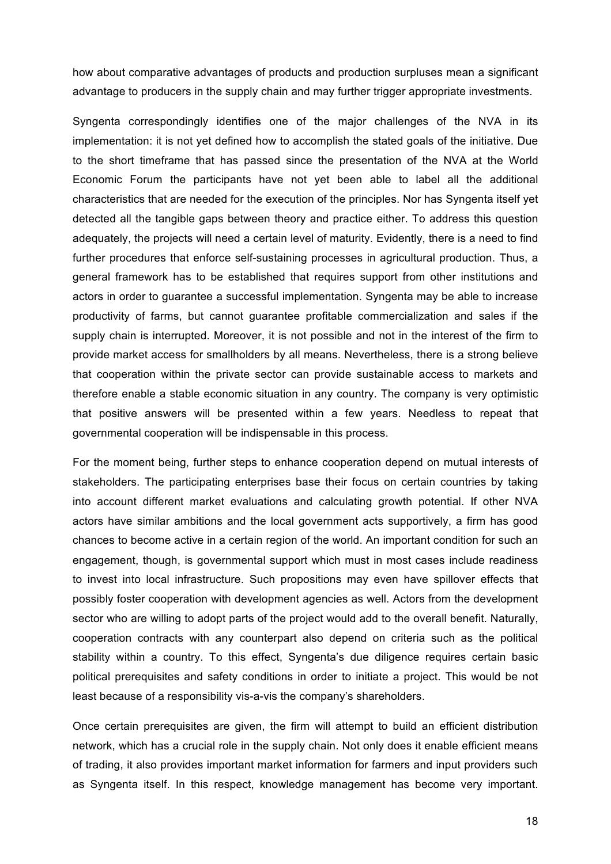how about comparative advantages of products and production surpluses mean a significant advantage to producers in the supply chain and may further trigger appropriate investments.

Syngenta correspondingly identifies one of the major challenges of the NVA in its implementation: it is not yet defined how to accomplish the stated goals of the initiative. Due to the short timeframe that has passed since the presentation of the NVA at the World Economic Forum the participants have not yet been able to label all the additional characteristics that are needed for the execution of the principles. Nor has Syngenta itself yet detected all the tangible gaps between theory and practice either. To address this question adequately, the projects will need a certain level of maturity. Evidently, there is a need to find further procedures that enforce self-sustaining processes in agricultural production. Thus, a general framework has to be established that requires support from other institutions and actors in order to guarantee a successful implementation. Syngenta may be able to increase productivity of farms, but cannot guarantee profitable commercialization and sales if the supply chain is interrupted. Moreover, it is not possible and not in the interest of the firm to provide market access for smallholders by all means. Nevertheless, there is a strong believe that cooperation within the private sector can provide sustainable access to markets and therefore enable a stable economic situation in any country. The company is very optimistic that positive answers will be presented within a few years. Needless to repeat that governmental cooperation will be indispensable in this process.

For the moment being, further steps to enhance cooperation depend on mutual interests of stakeholders. The participating enterprises base their focus on certain countries by taking into account different market evaluations and calculating growth potential. If other NVA actors have similar ambitions and the local government acts supportively, a firm has good chances to become active in a certain region of the world. An important condition for such an engagement, though, is governmental support which must in most cases include readiness to invest into local infrastructure. Such propositions may even have spillover effects that possibly foster cooperation with development agencies as well. Actors from the development sector who are willing to adopt parts of the project would add to the overall benefit. Naturally, cooperation contracts with any counterpart also depend on criteria such as the political stability within a country. To this effect, Syngenta's due diligence requires certain basic political prerequisites and safety conditions in order to initiate a project. This would be not least because of a responsibility vis-a-vis the company's shareholders.

Once certain prerequisites are given, the firm will attempt to build an efficient distribution network, which has a crucial role in the supply chain. Not only does it enable efficient means of trading, it also provides important market information for farmers and input providers such as Syngenta itself. In this respect, knowledge management has become very important.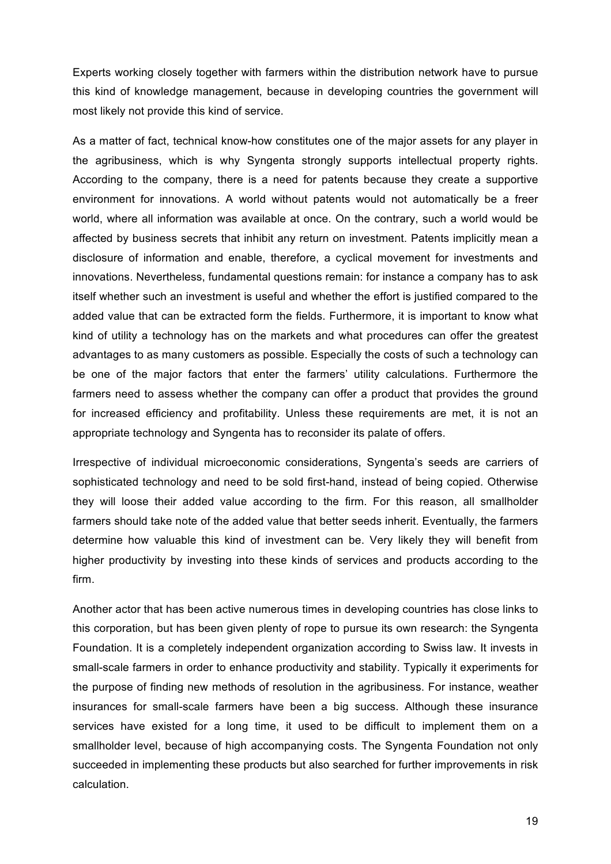Experts working closely together with farmers within the distribution network have to pursue this kind of knowledge management, because in developing countries the government will most likely not provide this kind of service.

As a matter of fact, technical know-how constitutes one of the major assets for any player in the agribusiness, which is why Syngenta strongly supports intellectual property rights. According to the company, there is a need for patents because they create a supportive environment for innovations. A world without patents would not automatically be a freer world, where all information was available at once. On the contrary, such a world would be affected by business secrets that inhibit any return on investment. Patents implicitly mean a disclosure of information and enable, therefore, a cyclical movement for investments and innovations. Nevertheless, fundamental questions remain: for instance a company has to ask itself whether such an investment is useful and whether the effort is justified compared to the added value that can be extracted form the fields. Furthermore, it is important to know what kind of utility a technology has on the markets and what procedures can offer the greatest advantages to as many customers as possible. Especially the costs of such a technology can be one of the major factors that enter the farmers' utility calculations. Furthermore the farmers need to assess whether the company can offer a product that provides the ground for increased efficiency and profitability. Unless these requirements are met, it is not an appropriate technology and Syngenta has to reconsider its palate of offers.

Irrespective of individual microeconomic considerations, Syngenta's seeds are carriers of sophisticated technology and need to be sold first-hand, instead of being copied. Otherwise they will loose their added value according to the firm. For this reason, all smallholder farmers should take note of the added value that better seeds inherit. Eventually, the farmers determine how valuable this kind of investment can be. Very likely they will benefit from higher productivity by investing into these kinds of services and products according to the firm.

Another actor that has been active numerous times in developing countries has close links to this corporation, but has been given plenty of rope to pursue its own research: the Syngenta Foundation. It is a completely independent organization according to Swiss law. It invests in small-scale farmers in order to enhance productivity and stability. Typically it experiments for the purpose of finding new methods of resolution in the agribusiness. For instance, weather insurances for small-scale farmers have been a big success. Although these insurance services have existed for a long time, it used to be difficult to implement them on a smallholder level, because of high accompanying costs. The Syngenta Foundation not only succeeded in implementing these products but also searched for further improvements in risk calculation.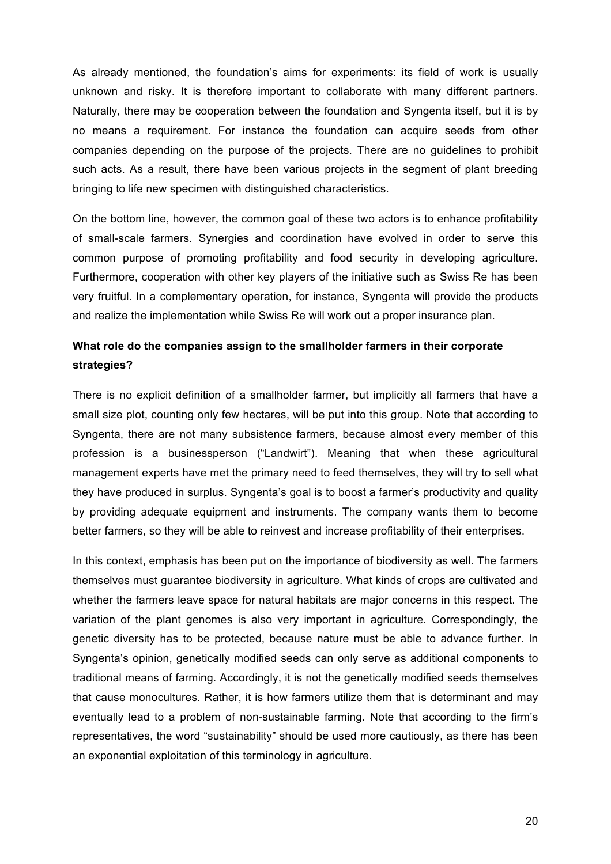As already mentioned, the foundation's aims for experiments: its field of work is usually unknown and risky. It is therefore important to collaborate with many different partners. Naturally, there may be cooperation between the foundation and Syngenta itself, but it is by no means a requirement. For instance the foundation can acquire seeds from other companies depending on the purpose of the projects. There are no guidelines to prohibit such acts. As a result, there have been various projects in the segment of plant breeding bringing to life new specimen with distinguished characteristics.

On the bottom line, however, the common goal of these two actors is to enhance profitability of small-scale farmers. Synergies and coordination have evolved in order to serve this common purpose of promoting profitability and food security in developing agriculture. Furthermore, cooperation with other key players of the initiative such as Swiss Re has been very fruitful. In a complementary operation, for instance, Syngenta will provide the products and realize the implementation while Swiss Re will work out a proper insurance plan.

# **What role do the companies assign to the smallholder farmers in their corporate strategies?**

There is no explicit definition of a smallholder farmer, but implicitly all farmers that have a small size plot, counting only few hectares, will be put into this group. Note that according to Syngenta, there are not many subsistence farmers, because almost every member of this profession is a businessperson ("Landwirt"). Meaning that when these agricultural management experts have met the primary need to feed themselves, they will try to sell what they have produced in surplus. Syngenta's goal is to boost a farmer's productivity and quality by providing adequate equipment and instruments. The company wants them to become better farmers, so they will be able to reinvest and increase profitability of their enterprises.

In this context, emphasis has been put on the importance of biodiversity as well. The farmers themselves must guarantee biodiversity in agriculture. What kinds of crops are cultivated and whether the farmers leave space for natural habitats are major concerns in this respect. The variation of the plant genomes is also very important in agriculture. Correspondingly, the genetic diversity has to be protected, because nature must be able to advance further. In Syngenta's opinion, genetically modified seeds can only serve as additional components to traditional means of farming. Accordingly, it is not the genetically modified seeds themselves that cause monocultures. Rather, it is how farmers utilize them that is determinant and may eventually lead to a problem of non-sustainable farming. Note that according to the firm's representatives, the word "sustainability" should be used more cautiously, as there has been an exponential exploitation of this terminology in agriculture.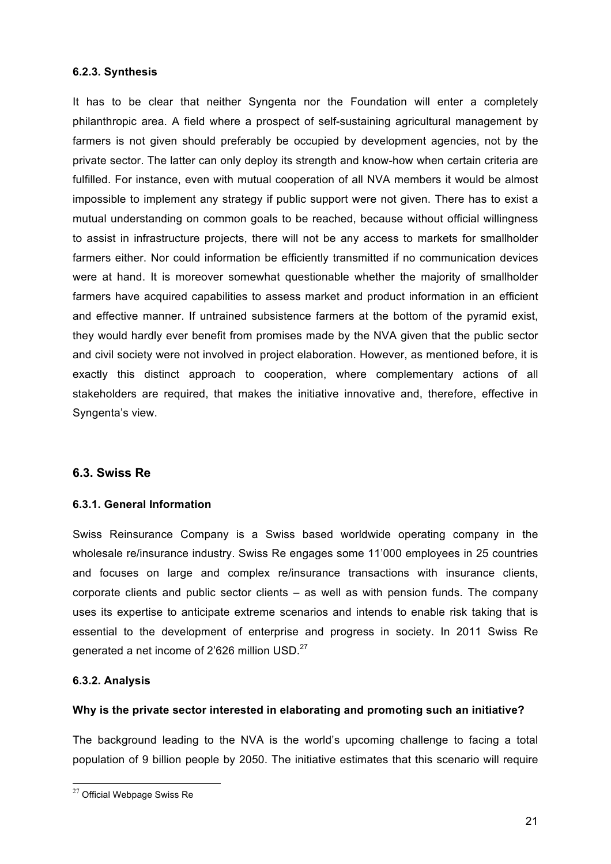#### **6.2.3. Synthesis**

It has to be clear that neither Syngenta nor the Foundation will enter a completely philanthropic area. A field where a prospect of self-sustaining agricultural management by farmers is not given should preferably be occupied by development agencies, not by the private sector. The latter can only deploy its strength and know-how when certain criteria are fulfilled. For instance, even with mutual cooperation of all NVA members it would be almost impossible to implement any strategy if public support were not given. There has to exist a mutual understanding on common goals to be reached, because without official willingness to assist in infrastructure projects, there will not be any access to markets for smallholder farmers either. Nor could information be efficiently transmitted if no communication devices were at hand. It is moreover somewhat questionable whether the majority of smallholder farmers have acquired capabilities to assess market and product information in an efficient and effective manner. If untrained subsistence farmers at the bottom of the pyramid exist, they would hardly ever benefit from promises made by the NVA given that the public sector and civil society were not involved in project elaboration. However, as mentioned before, it is exactly this distinct approach to cooperation, where complementary actions of all stakeholders are required, that makes the initiative innovative and, therefore, effective in Syngenta's view.

#### **6.3. Swiss Re**

#### **6.3.1. General Information**

Swiss Reinsurance Company is a Swiss based worldwide operating company in the wholesale re/insurance industry. Swiss Re engages some 11'000 employees in 25 countries and focuses on large and complex re/insurance transactions with insurance clients, corporate clients and public sector clients – as well as with pension funds. The company uses its expertise to anticipate extreme scenarios and intends to enable risk taking that is essential to the development of enterprise and progress in society. In 2011 Swiss Re generated a net income of 2'626 million USD.<sup>27</sup>

#### **6.3.2. Analysis**

#### **Why is the private sector interested in elaborating and promoting such an initiative?**

The background leading to the NVA is the world's upcoming challenge to facing a total population of 9 billion people by 2050. The initiative estimates that this scenario will require

 $27$  Official Webpage Swiss Re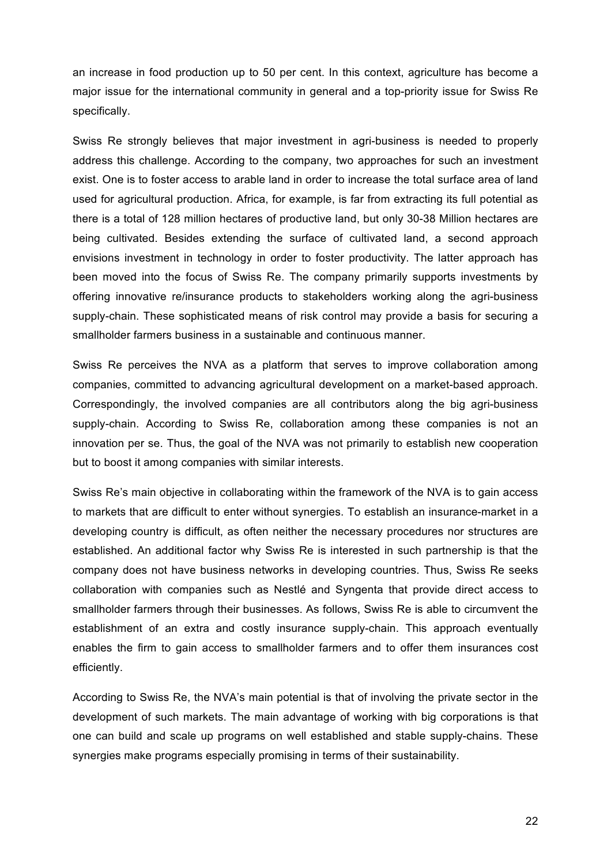an increase in food production up to 50 per cent. In this context, agriculture has become a major issue for the international community in general and a top-priority issue for Swiss Re specifically.

Swiss Re strongly believes that major investment in agri-business is needed to properly address this challenge. According to the company, two approaches for such an investment exist. One is to foster access to arable land in order to increase the total surface area of land used for agricultural production. Africa, for example, is far from extracting its full potential as there is a total of 128 million hectares of productive land, but only 30-38 Million hectares are being cultivated. Besides extending the surface of cultivated land, a second approach envisions investment in technology in order to foster productivity. The latter approach has been moved into the focus of Swiss Re. The company primarily supports investments by offering innovative re/insurance products to stakeholders working along the agri-business supply-chain. These sophisticated means of risk control may provide a basis for securing a smallholder farmers business in a sustainable and continuous manner.

Swiss Re perceives the NVA as a platform that serves to improve collaboration among companies, committed to advancing agricultural development on a market-based approach. Correspondingly, the involved companies are all contributors along the big agri-business supply-chain. According to Swiss Re, collaboration among these companies is not an innovation per se. Thus, the goal of the NVA was not primarily to establish new cooperation but to boost it among companies with similar interests.

Swiss Re's main objective in collaborating within the framework of the NVA is to gain access to markets that are difficult to enter without synergies. To establish an insurance-market in a developing country is difficult, as often neither the necessary procedures nor structures are established. An additional factor why Swiss Re is interested in such partnership is that the company does not have business networks in developing countries. Thus, Swiss Re seeks collaboration with companies such as Nestlé and Syngenta that provide direct access to smallholder farmers through their businesses. As follows, Swiss Re is able to circumvent the establishment of an extra and costly insurance supply-chain. This approach eventually enables the firm to gain access to smallholder farmers and to offer them insurances cost efficiently.

According to Swiss Re, the NVA's main potential is that of involving the private sector in the development of such markets. The main advantage of working with big corporations is that one can build and scale up programs on well established and stable supply-chains. These synergies make programs especially promising in terms of their sustainability.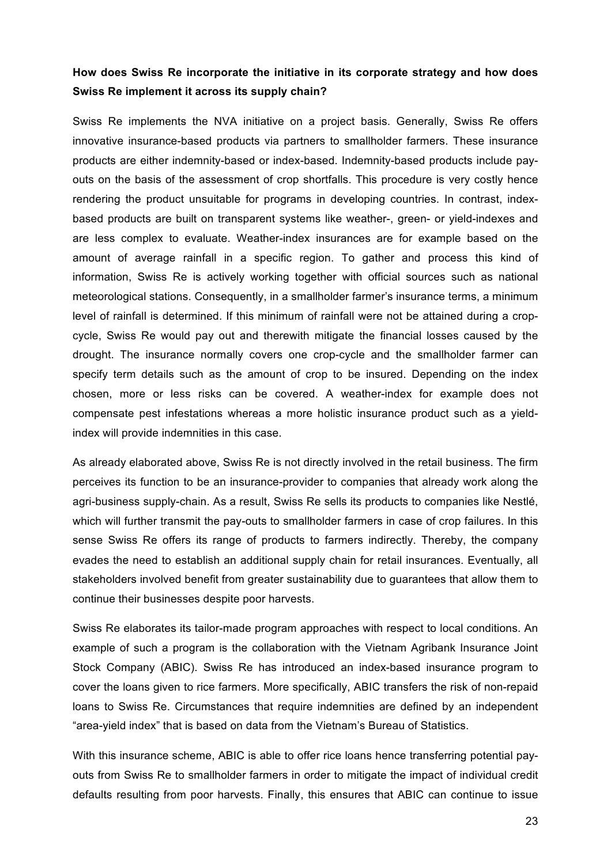# **How does Swiss Re incorporate the initiative in its corporate strategy and how does Swiss Re implement it across its supply chain?**

Swiss Re implements the NVA initiative on a project basis. Generally, Swiss Re offers innovative insurance-based products via partners to smallholder farmers. These insurance products are either indemnity-based or index-based. Indemnity-based products include payouts on the basis of the assessment of crop shortfalls. This procedure is very costly hence rendering the product unsuitable for programs in developing countries. In contrast, indexbased products are built on transparent systems like weather-, green- or yield-indexes and are less complex to evaluate. Weather-index insurances are for example based on the amount of average rainfall in a specific region. To gather and process this kind of information, Swiss Re is actively working together with official sources such as national meteorological stations. Consequently, in a smallholder farmer's insurance terms, a minimum level of rainfall is determined. If this minimum of rainfall were not be attained during a cropcycle, Swiss Re would pay out and therewith mitigate the financial losses caused by the drought. The insurance normally covers one crop-cycle and the smallholder farmer can specify term details such as the amount of crop to be insured. Depending on the index chosen, more or less risks can be covered. A weather-index for example does not compensate pest infestations whereas a more holistic insurance product such as a yieldindex will provide indemnities in this case.

As already elaborated above, Swiss Re is not directly involved in the retail business. The firm perceives its function to be an insurance-provider to companies that already work along the agri-business supply-chain. As a result, Swiss Re sells its products to companies like Nestlé, which will further transmit the pay-outs to smallholder farmers in case of crop failures. In this sense Swiss Re offers its range of products to farmers indirectly. Thereby, the company evades the need to establish an additional supply chain for retail insurances. Eventually, all stakeholders involved benefit from greater sustainability due to guarantees that allow them to continue their businesses despite poor harvests.

Swiss Re elaborates its tailor-made program approaches with respect to local conditions. An example of such a program is the collaboration with the Vietnam Agribank Insurance Joint Stock Company (ABIC). Swiss Re has introduced an index-based insurance program to cover the loans given to rice farmers. More specifically, ABIC transfers the risk of non-repaid loans to Swiss Re. Circumstances that require indemnities are defined by an independent "area-yield index" that is based on data from the Vietnam's Bureau of Statistics.

With this insurance scheme, ABIC is able to offer rice loans hence transferring potential payouts from Swiss Re to smallholder farmers in order to mitigate the impact of individual credit defaults resulting from poor harvests. Finally, this ensures that ABIC can continue to issue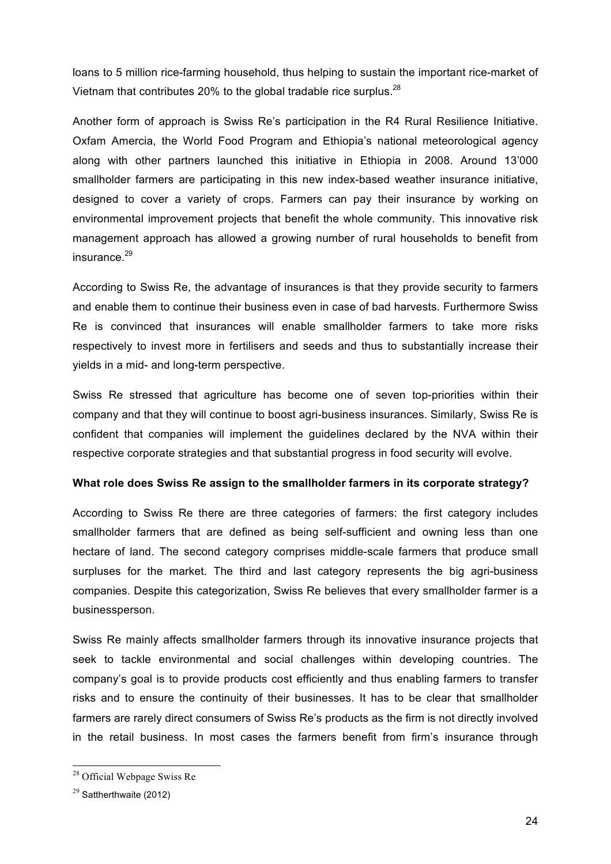loans to 5 million rice-farming household, thus helping to sustain the important rice-market of Vietnam that contributes 20% to the global tradable rice surplus.<sup>28</sup>

Another form of approach is Swiss Re's participation in the R4 Rural Resilience Initiative. Oxfam Amercia, the World Food Program and Ethiopia's national meteorological agency along with other partners launched this initiative in Ethiopia in 2008. Around 13'000 smallholder farmers are participating in this new index-based weather insurance initiative, designed to cover a variety of crops. Farmers can pay their insurance by working on environmental improvement projects that benefit the whole community. This innovative risk management approach has allowed a growing number of rural households to benefit from insurance $^{29}$ 

According to Swiss Re, the advantage of insurances is that they provide security to farmers and enable them to continue their business even in case of bad harvests. Furthermore Swiss Re is convinced that insurances will enable smallholder farmers to take more risks respectively to invest more in fertilisers and seeds and thus to substantially increase their yields in a mid- and long-term perspective.

Swiss Re stressed that agriculture has become one of seven top-priorities within their company and that they will continue to boost agri-business insurances. Similarly, Swiss Re is confident that companies will implement the guidelines declared by the NVA within their respective corporate strategies and that substantial progress in food security will evolve.

#### **What role does Swiss Re assign to the smallholder farmers in its corporate strategy?**

According to Swiss Re there are three categories of farmers: the first category includes smallholder farmers that are defined as being self-sufficient and owning less than one hectare of land. The second category comprises middle-scale farmers that produce small surpluses for the market. The third and last category represents the big agri-business companies. Despite this categorization, Swiss Re believes that every smallholder farmer is a businessperson.

Swiss Re mainly affects smallholder farmers through its innovative insurance projects that seek to tackle environmental and social challenges within developing countries. The company's goal is to provide products cost efficiently and thus enabling farmers to transfer risks and to ensure the continuity of their businesses. It has to be clear that smallholder farmers are rarely direct consumers of Swiss Re's products as the firm is not directly involved in the retail business. In most cases the farmers benefit from firm's insurance through

<sup>28</sup> Official Webpage Swiss Re

 $29$  Sattherthwaite (2012)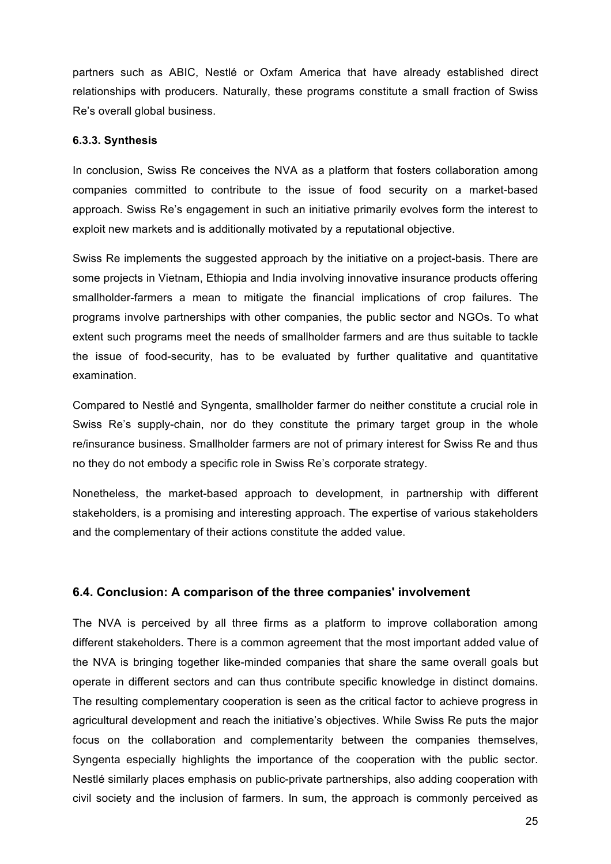partners such as ABIC, Nestlé or Oxfam America that have already established direct relationships with producers. Naturally, these programs constitute a small fraction of Swiss Re's overall global business.

#### **6.3.3. Synthesis**

In conclusion, Swiss Re conceives the NVA as a platform that fosters collaboration among companies committed to contribute to the issue of food security on a market-based approach. Swiss Re's engagement in such an initiative primarily evolves form the interest to exploit new markets and is additionally motivated by a reputational objective.

Swiss Re implements the suggested approach by the initiative on a project-basis. There are some projects in Vietnam, Ethiopia and India involving innovative insurance products offering smallholder-farmers a mean to mitigate the financial implications of crop failures. The programs involve partnerships with other companies, the public sector and NGOs. To what extent such programs meet the needs of smallholder farmers and are thus suitable to tackle the issue of food-security, has to be evaluated by further qualitative and quantitative examination.

Compared to Nestlé and Syngenta, smallholder farmer do neither constitute a crucial role in Swiss Re's supply-chain, nor do they constitute the primary target group in the whole re/insurance business. Smallholder farmers are not of primary interest for Swiss Re and thus no they do not embody a specific role in Swiss Re's corporate strategy.

Nonetheless, the market-based approach to development, in partnership with different stakeholders, is a promising and interesting approach. The expertise of various stakeholders and the complementary of their actions constitute the added value.

#### **6.4. Conclusion: A comparison of the three companies' involvement**

The NVA is perceived by all three firms as a platform to improve collaboration among different stakeholders. There is a common agreement that the most important added value of the NVA is bringing together like-minded companies that share the same overall goals but operate in different sectors and can thus contribute specific knowledge in distinct domains. The resulting complementary cooperation is seen as the critical factor to achieve progress in agricultural development and reach the initiative's objectives. While Swiss Re puts the major focus on the collaboration and complementarity between the companies themselves, Syngenta especially highlights the importance of the cooperation with the public sector. Nestlé similarly places emphasis on public-private partnerships, also adding cooperation with civil society and the inclusion of farmers. In sum, the approach is commonly perceived as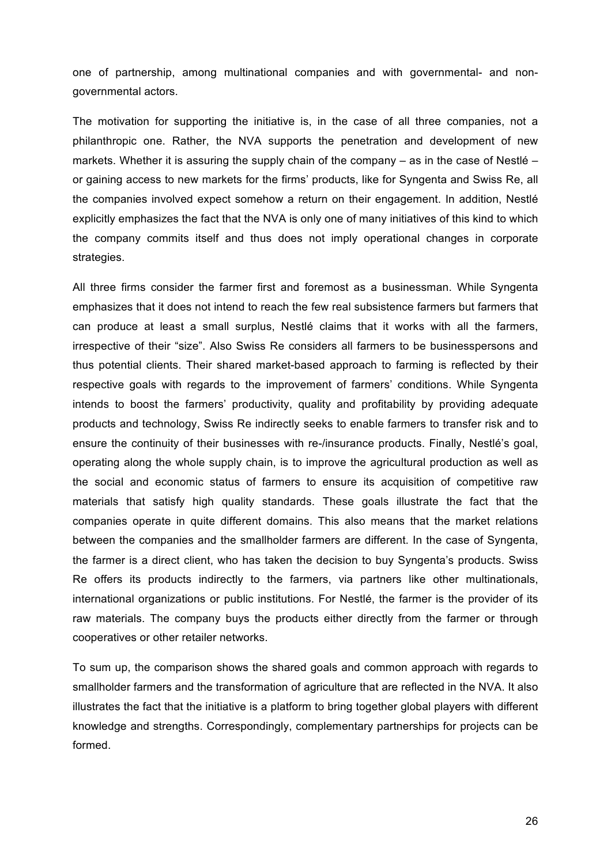one of partnership, among multinational companies and with governmental- and nongovernmental actors.

The motivation for supporting the initiative is, in the case of all three companies, not a philanthropic one. Rather, the NVA supports the penetration and development of new markets. Whether it is assuring the supply chain of the company – as in the case of Nestlé – or gaining access to new markets for the firms' products, like for Syngenta and Swiss Re, all the companies involved expect somehow a return on their engagement. In addition, Nestlé explicitly emphasizes the fact that the NVA is only one of many initiatives of this kind to which the company commits itself and thus does not imply operational changes in corporate strategies.

All three firms consider the farmer first and foremost as a businessman. While Syngenta emphasizes that it does not intend to reach the few real subsistence farmers but farmers that can produce at least a small surplus, Nestlé claims that it works with all the farmers, irrespective of their "size". Also Swiss Re considers all farmers to be businesspersons and thus potential clients. Their shared market-based approach to farming is reflected by their respective goals with regards to the improvement of farmers' conditions. While Syngenta intends to boost the farmers' productivity, quality and profitability by providing adequate products and technology, Swiss Re indirectly seeks to enable farmers to transfer risk and to ensure the continuity of their businesses with re-/insurance products. Finally, Nestlé's goal, operating along the whole supply chain, is to improve the agricultural production as well as the social and economic status of farmers to ensure its acquisition of competitive raw materials that satisfy high quality standards. These goals illustrate the fact that the companies operate in quite different domains. This also means that the market relations between the companies and the smallholder farmers are different. In the case of Syngenta, the farmer is a direct client, who has taken the decision to buy Syngenta's products. Swiss Re offers its products indirectly to the farmers, via partners like other multinationals, international organizations or public institutions. For Nestlé, the farmer is the provider of its raw materials. The company buys the products either directly from the farmer or through cooperatives or other retailer networks.

To sum up, the comparison shows the shared goals and common approach with regards to smallholder farmers and the transformation of agriculture that are reflected in the NVA. It also illustrates the fact that the initiative is a platform to bring together global players with different knowledge and strengths. Correspondingly, complementary partnerships for projects can be formed.

26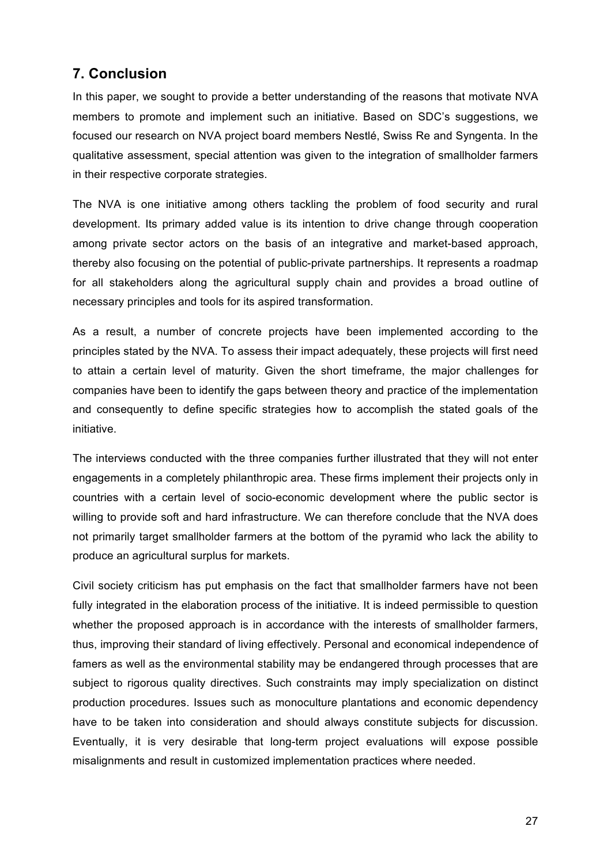# **7. Conclusion**

In this paper, we sought to provide a better understanding of the reasons that motivate NVA members to promote and implement such an initiative. Based on SDC's suggestions, we focused our research on NVA project board members Nestlé, Swiss Re and Syngenta. In the qualitative assessment, special attention was given to the integration of smallholder farmers in their respective corporate strategies.

The NVA is one initiative among others tackling the problem of food security and rural development. Its primary added value is its intention to drive change through cooperation among private sector actors on the basis of an integrative and market-based approach, thereby also focusing on the potential of public-private partnerships. It represents a roadmap for all stakeholders along the agricultural supply chain and provides a broad outline of necessary principles and tools for its aspired transformation.

As a result, a number of concrete projects have been implemented according to the principles stated by the NVA. To assess their impact adequately, these projects will first need to attain a certain level of maturity. Given the short timeframe, the major challenges for companies have been to identify the gaps between theory and practice of the implementation and consequently to define specific strategies how to accomplish the stated goals of the initiative.

The interviews conducted with the three companies further illustrated that they will not enter engagements in a completely philanthropic area. These firms implement their projects only in countries with a certain level of socio-economic development where the public sector is willing to provide soft and hard infrastructure. We can therefore conclude that the NVA does not primarily target smallholder farmers at the bottom of the pyramid who lack the ability to produce an agricultural surplus for markets.

Civil society criticism has put emphasis on the fact that smallholder farmers have not been fully integrated in the elaboration process of the initiative. It is indeed permissible to question whether the proposed approach is in accordance with the interests of smallholder farmers, thus, improving their standard of living effectively. Personal and economical independence of famers as well as the environmental stability may be endangered through processes that are subject to rigorous quality directives. Such constraints may imply specialization on distinct production procedures. Issues such as monoculture plantations and economic dependency have to be taken into consideration and should always constitute subjects for discussion. Eventually, it is very desirable that long-term project evaluations will expose possible misalignments and result in customized implementation practices where needed.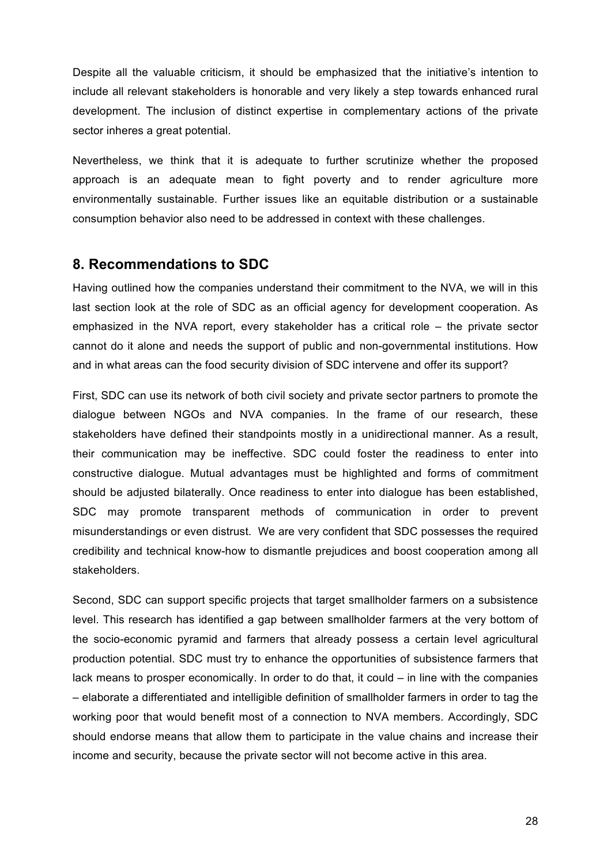Despite all the valuable criticism, it should be emphasized that the initiative's intention to include all relevant stakeholders is honorable and very likely a step towards enhanced rural development. The inclusion of distinct expertise in complementary actions of the private sector inheres a great potential.

Nevertheless, we think that it is adequate to further scrutinize whether the proposed approach is an adequate mean to fight poverty and to render agriculture more environmentally sustainable. Further issues like an equitable distribution or a sustainable consumption behavior also need to be addressed in context with these challenges.

### **8. Recommendations to SDC**

Having outlined how the companies understand their commitment to the NVA, we will in this last section look at the role of SDC as an official agency for development cooperation. As emphasized in the NVA report, every stakeholder has a critical role – the private sector cannot do it alone and needs the support of public and non-governmental institutions. How and in what areas can the food security division of SDC intervene and offer its support?

First, SDC can use its network of both civil society and private sector partners to promote the dialogue between NGOs and NVA companies. In the frame of our research, these stakeholders have defined their standpoints mostly in a unidirectional manner. As a result, their communication may be ineffective. SDC could foster the readiness to enter into constructive dialogue. Mutual advantages must be highlighted and forms of commitment should be adjusted bilaterally. Once readiness to enter into dialogue has been established, SDC may promote transparent methods of communication in order to prevent misunderstandings or even distrust. We are very confident that SDC possesses the required credibility and technical know-how to dismantle prejudices and boost cooperation among all stakeholders.

Second, SDC can support specific projects that target smallholder farmers on a subsistence level. This research has identified a gap between smallholder farmers at the very bottom of the socio-economic pyramid and farmers that already possess a certain level agricultural production potential. SDC must try to enhance the opportunities of subsistence farmers that lack means to prosper economically. In order to do that, it could – in line with the companies – elaborate a differentiated and intelligible definition of smallholder farmers in order to tag the working poor that would benefit most of a connection to NVA members. Accordingly, SDC should endorse means that allow them to participate in the value chains and increase their income and security, because the private sector will not become active in this area.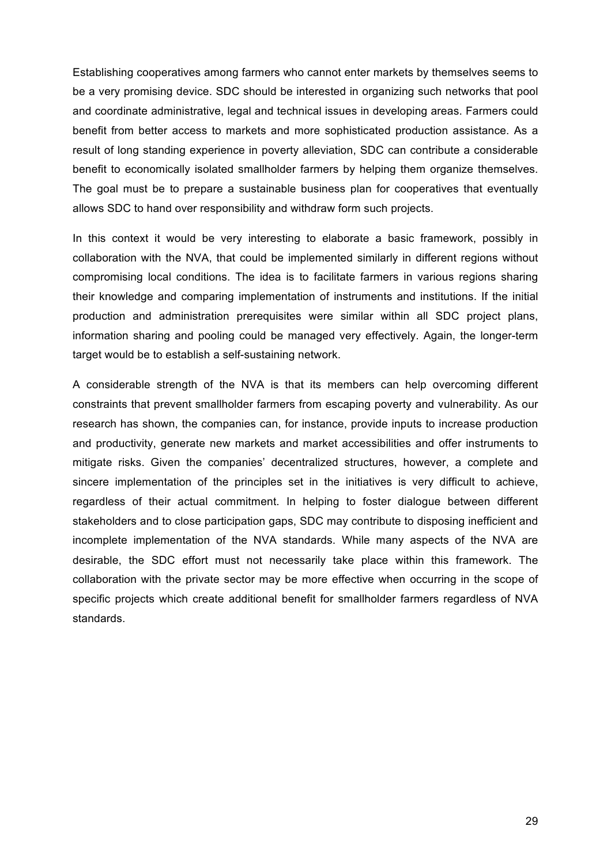Establishing cooperatives among farmers who cannot enter markets by themselves seems to be a very promising device. SDC should be interested in organizing such networks that pool and coordinate administrative, legal and technical issues in developing areas. Farmers could benefit from better access to markets and more sophisticated production assistance. As a result of long standing experience in poverty alleviation, SDC can contribute a considerable benefit to economically isolated smallholder farmers by helping them organize themselves. The goal must be to prepare a sustainable business plan for cooperatives that eventually allows SDC to hand over responsibility and withdraw form such projects.

In this context it would be very interesting to elaborate a basic framework, possibly in collaboration with the NVA, that could be implemented similarly in different regions without compromising local conditions. The idea is to facilitate farmers in various regions sharing their knowledge and comparing implementation of instruments and institutions. If the initial production and administration prerequisites were similar within all SDC project plans, information sharing and pooling could be managed very effectively. Again, the longer-term target would be to establish a self-sustaining network.

A considerable strength of the NVA is that its members can help overcoming different constraints that prevent smallholder farmers from escaping poverty and vulnerability. As our research has shown, the companies can, for instance, provide inputs to increase production and productivity, generate new markets and market accessibilities and offer instruments to mitigate risks. Given the companies' decentralized structures, however, a complete and sincere implementation of the principles set in the initiatives is very difficult to achieve, regardless of their actual commitment. In helping to foster dialogue between different stakeholders and to close participation gaps, SDC may contribute to disposing inefficient and incomplete implementation of the NVA standards. While many aspects of the NVA are desirable, the SDC effort must not necessarily take place within this framework. The collaboration with the private sector may be more effective when occurring in the scope of specific projects which create additional benefit for smallholder farmers regardless of NVA standards.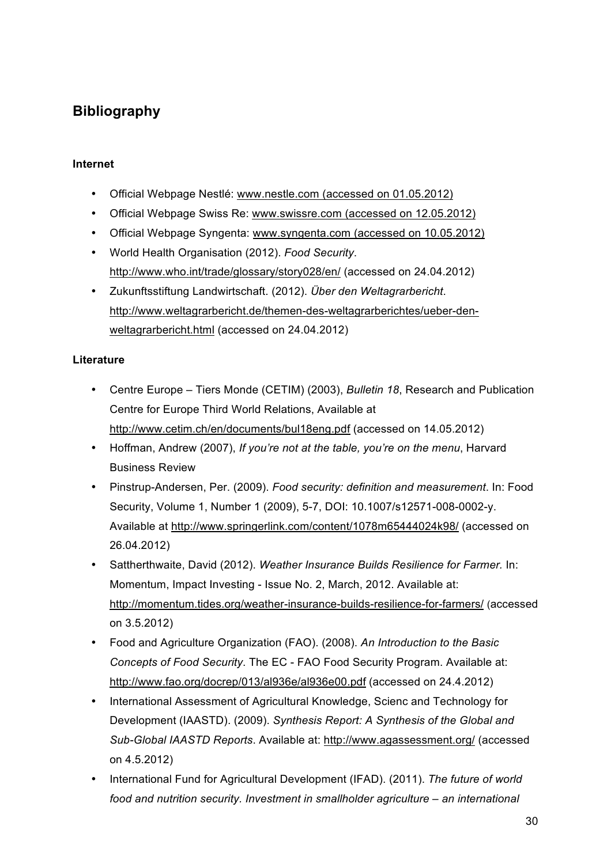# **Bibliography**

### **Internet**

- Official Webpage Nestlé: www.nestle.com (accessed on 01.05.2012)
- Official Webpage Swiss Re: www.swissre.com (accessed on 12.05.2012)
- Official Webpage Syngenta: www.syngenta.com (accessed on 10.05.2012)
- World Health Organisation (2012). *Food Security*. http://www.who.int/trade/glossary/story028/en/ (accessed on 24.04.2012)
- Zukunftsstiftung Landwirtschaft. (2012). *Über den Weltagrarbericht*. http://www.weltagrarbericht.de/themen-des-weltagrarberichtes/ueber-denweltagrarbericht.html (accessed on 24.04.2012)

#### **Literature**

- Centre Europe Tiers Monde (CETIM) (2003), *Bulletin 18*, Research and Publication Centre for Europe Third World Relations, Available at http://www.cetim.ch/en/documents/bul18eng.pdf (accessed on 14.05.2012)
- Hoffman, Andrew (2007), *If you're not at the table, you're on the menu*, Harvard Business Review
- Pinstrup-Andersen, Per. (2009). *Food security: definition and measurement*. In: Food Security, Volume 1, Number 1 (2009), 5-7, DOI: 10.1007/s12571-008-0002-y. Available at http://www.springerlink.com/content/1078m65444024k98/ (accessed on 26.04.2012)
- Sattherthwaite, David (2012). *Weather Insurance Builds Resilience for Farmer.* In: Momentum, Impact Investing - Issue No. 2, March, 2012. Available at: http://momentum.tides.org/weather-insurance-builds-resilience-for-farmers/ (accessed on 3.5.2012)
- Food and Agriculture Organization (FAO). (2008). *An Introduction to the Basic Concepts of Food Security*. The EC - FAO Food Security Program. Available at: http://www.fao.org/docrep/013/al936e/al936e00.pdf (accessed on 24.4.2012)
- International Assessment of Agricultural Knowledge, Scienc and Technology for Development (IAASTD). (2009). *Synthesis Report: A Synthesis of the Global and Sub-Global IAASTD Reports*. Available at: http://www.agassessment.org/ (accessed on 4.5.2012)
- International Fund for Agricultural Development (IFAD). (2011). *The future of world food and nutrition security. Investment in smallholder agriculture – an international*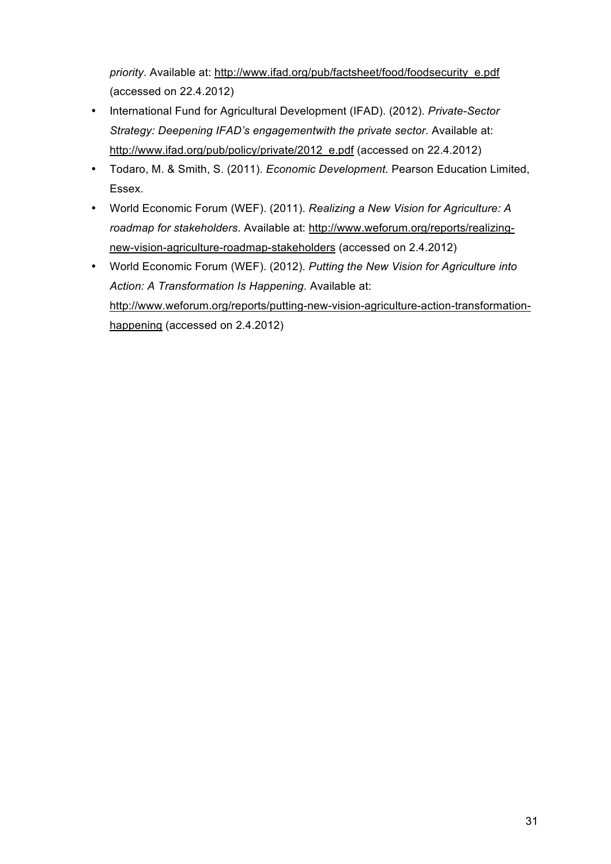*priority*. Available at: http://www.ifad.org/pub/factsheet/food/foodsecurity\_e.pdf (accessed on 22.4.2012)

- International Fund for Agricultural Development (IFAD). (2012). *Private-Sector Strategy: Deepening IFAD's engagementwith the private sector*. Available at: http://www.ifad.org/pub/policy/private/2012\_e.pdf (accessed on 22.4.2012)
- Todaro, M. & Smith, S. (2011). *Economic Development*. Pearson Education Limited, Essex.
- World Economic Forum (WEF). (2011). *Realizing a New Vision for Agriculture: A roadmap for stakeholders*. Available at: http://www.weforum.org/reports/realizingnew-vision-agriculture-roadmap-stakeholders (accessed on 2.4.2012)
- World Economic Forum (WEF). (2012). *Putting the New Vision for Agriculture into Action: A Transformation Is Happening*. Available at: http://www.weforum.org/reports/putting-new-vision-agriculture-action-transformationhappening (accessed on 2.4.2012)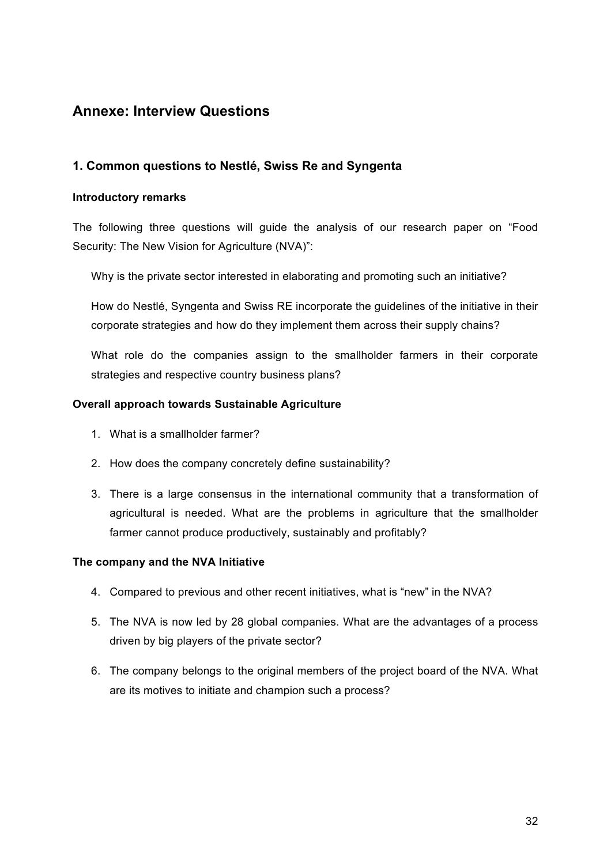# **Annexe: Interview Questions**

## **1. Common questions to Nestlé, Swiss Re and Syngenta**

#### **Introductory remarks**

The following three questions will guide the analysis of our research paper on "Food Security: The New Vision for Agriculture (NVA)":

Why is the private sector interested in elaborating and promoting such an initiative?

How do Nestlé, Syngenta and Swiss RE incorporate the guidelines of the initiative in their corporate strategies and how do they implement them across their supply chains?

What role do the companies assign to the smallholder farmers in their corporate strategies and respective country business plans?

#### **Overall approach towards Sustainable Agriculture**

- 1. What is a smallholder farmer?
- 2. How does the company concretely define sustainability?
- 3. There is a large consensus in the international community that a transformation of agricultural is needed. What are the problems in agriculture that the smallholder farmer cannot produce productively, sustainably and profitably?

### **The company and the NVA Initiative**

- 4. Compared to previous and other recent initiatives, what is "new" in the NVA?
- 5. The NVA is now led by 28 global companies. What are the advantages of a process driven by big players of the private sector?
- 6. The company belongs to the original members of the project board of the NVA. What are its motives to initiate and champion such a process?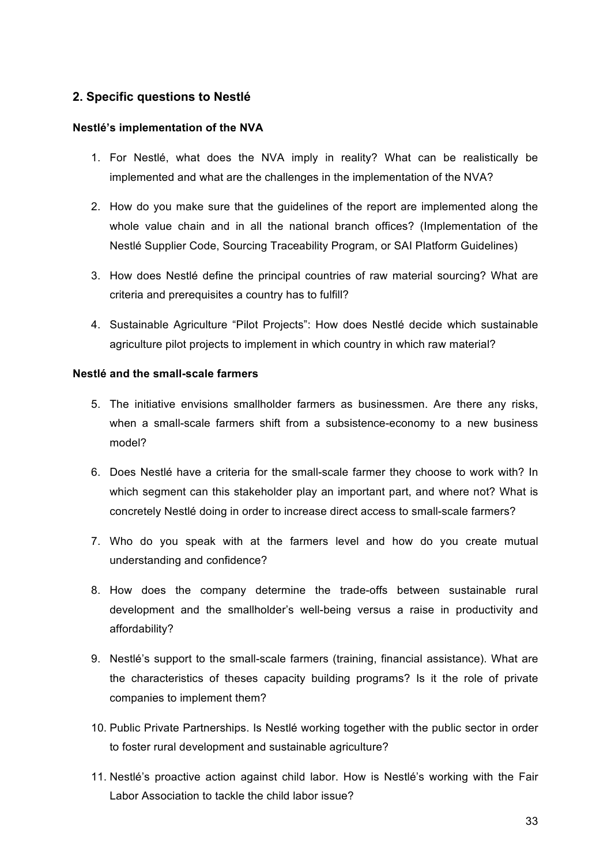## **2. Specific questions to Nestlé**

#### **Nestlé's implementation of the NVA**

- 1. For Nestlé, what does the NVA imply in reality? What can be realistically be implemented and what are the challenges in the implementation of the NVA?
- 2. How do you make sure that the guidelines of the report are implemented along the whole value chain and in all the national branch offices? (Implementation of the Nestlé Supplier Code, Sourcing Traceability Program, or SAI Platform Guidelines)
- 3. How does Nestlé define the principal countries of raw material sourcing? What are criteria and prerequisites a country has to fulfill?
- 4. Sustainable Agriculture "Pilot Projects": How does Nestlé decide which sustainable agriculture pilot projects to implement in which country in which raw material?

### **Nestlé and the small-scale farmers**

- 5. The initiative envisions smallholder farmers as businessmen. Are there any risks, when a small-scale farmers shift from a subsistence-economy to a new business model?
- 6. Does Nestlé have a criteria for the small-scale farmer they choose to work with? In which segment can this stakeholder play an important part, and where not? What is concretely Nestlé doing in order to increase direct access to small-scale farmers?
- 7. Who do you speak with at the farmers level and how do you create mutual understanding and confidence?
- 8. How does the company determine the trade-offs between sustainable rural development and the smallholder's well-being versus a raise in productivity and affordability?
- 9. Nestlé's support to the small-scale farmers (training, financial assistance). What are the characteristics of theses capacity building programs? Is it the role of private companies to implement them?
- 10. Public Private Partnerships. Is Nestlé working together with the public sector in order to foster rural development and sustainable agriculture?
- 11. Nestlé's proactive action against child labor. How is Nestlé's working with the Fair Labor Association to tackle the child labor issue?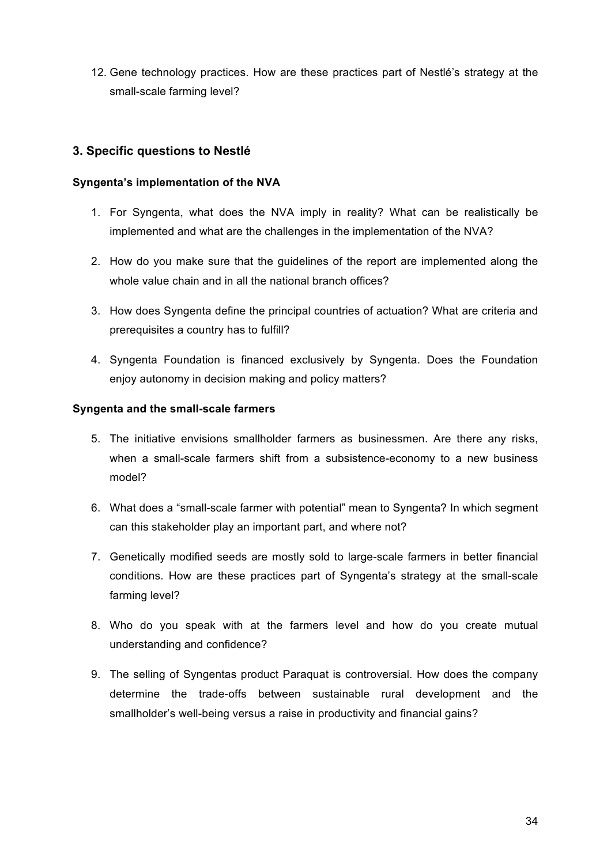12. Gene technology practices. How are these practices part of Nestlé's strategy at the small-scale farming level?

### **3. Specific questions to Nestlé**

#### **Syngenta's implementation of the NVA**

- 1. For Syngenta, what does the NVA imply in reality? What can be realistically be implemented and what are the challenges in the implementation of the NVA?
- 2. How do you make sure that the guidelines of the report are implemented along the whole value chain and in all the national branch offices?
- 3. How does Syngenta define the principal countries of actuation? What are criteria and prerequisites a country has to fulfill?
- 4. Syngenta Foundation is financed exclusively by Syngenta. Does the Foundation enjoy autonomy in decision making and policy matters?

#### **Syngenta and the small-scale farmers**

- 5. The initiative envisions smallholder farmers as businessmen. Are there any risks, when a small-scale farmers shift from a subsistence-economy to a new business model?
- 6. What does a "small-scale farmer with potential" mean to Syngenta? In which segment can this stakeholder play an important part, and where not?
- 7. Genetically modified seeds are mostly sold to large-scale farmers in better financial conditions. How are these practices part of Syngenta's strategy at the small-scale farming level?
- 8. Who do you speak with at the farmers level and how do you create mutual understanding and confidence?
- 9. The selling of Syngentas product Paraquat is controversial. How does the company determine the trade-offs between sustainable rural development and the smallholder's well-being versus a raise in productivity and financial gains?